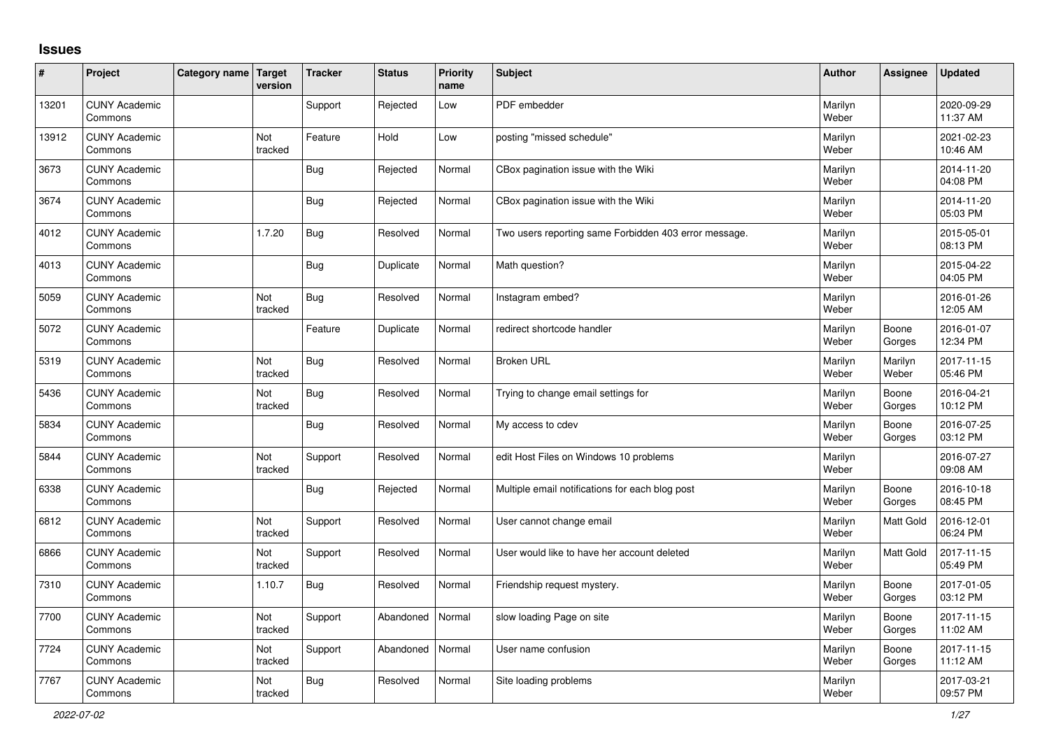## **Issues**

| ∦     | Project                         | Category name Target | version        | <b>Tracker</b> | <b>Status</b> | <b>Priority</b><br>name | <b>Subject</b>                                        | <b>Author</b>    | <b>Assignee</b>  | <b>Updated</b>         |
|-------|---------------------------------|----------------------|----------------|----------------|---------------|-------------------------|-------------------------------------------------------|------------------|------------------|------------------------|
| 13201 | <b>CUNY Academic</b><br>Commons |                      |                | Support        | Rejected      | Low                     | PDF embedder                                          | Marilyn<br>Weber |                  | 2020-09-29<br>11:37 AM |
| 13912 | <b>CUNY Academic</b><br>Commons |                      | Not<br>tracked | Feature        | Hold          | Low                     | posting "missed schedule"                             | Marilyn<br>Weber |                  | 2021-02-23<br>10:46 AM |
| 3673  | <b>CUNY Academic</b><br>Commons |                      |                | Bug            | Rejected      | Normal                  | CBox pagination issue with the Wiki                   | Marilyn<br>Weber |                  | 2014-11-20<br>04:08 PM |
| 3674  | <b>CUNY Academic</b><br>Commons |                      |                | Bug            | Rejected      | Normal                  | CBox pagination issue with the Wiki                   | Marilyn<br>Weber |                  | 2014-11-20<br>05:03 PM |
| 4012  | <b>CUNY Academic</b><br>Commons |                      | 1.7.20         | Bug            | Resolved      | Normal                  | Two users reporting same Forbidden 403 error message. | Marilyn<br>Weber |                  | 2015-05-01<br>08:13 PM |
| 4013  | <b>CUNY Academic</b><br>Commons |                      |                | Bug            | Duplicate     | Normal                  | Math question?                                        | Marilyn<br>Weber |                  | 2015-04-22<br>04:05 PM |
| 5059  | <b>CUNY Academic</b><br>Commons |                      | Not<br>tracked | <b>Bug</b>     | Resolved      | Normal                  | Instagram embed?                                      | Marilyn<br>Weber |                  | 2016-01-26<br>12:05 AM |
| 5072  | <b>CUNY Academic</b><br>Commons |                      |                | Feature        | Duplicate     | Normal                  | redirect shortcode handler                            | Marilyn<br>Weber | Boone<br>Gorges  | 2016-01-07<br>12:34 PM |
| 5319  | <b>CUNY Academic</b><br>Commons |                      | Not<br>tracked | Bug            | Resolved      | Normal                  | <b>Broken URL</b>                                     | Marilyn<br>Weber | Marilyn<br>Weber | 2017-11-15<br>05:46 PM |
| 5436  | <b>CUNY Academic</b><br>Commons |                      | Not<br>tracked | Bug            | Resolved      | Normal                  | Trying to change email settings for                   | Marilyn<br>Weber | Boone<br>Gorges  | 2016-04-21<br>10:12 PM |
| 5834  | <b>CUNY Academic</b><br>Commons |                      |                | Bug            | Resolved      | Normal                  | My access to cdev                                     | Marilyn<br>Weber | Boone<br>Gorges  | 2016-07-25<br>03:12 PM |
| 5844  | <b>CUNY Academic</b><br>Commons |                      | Not<br>tracked | Support        | Resolved      | Normal                  | edit Host Files on Windows 10 problems                | Marilyn<br>Weber |                  | 2016-07-27<br>09:08 AM |
| 6338  | <b>CUNY Academic</b><br>Commons |                      |                | Bug            | Rejected      | Normal                  | Multiple email notifications for each blog post       | Marilyn<br>Weber | Boone<br>Gorges  | 2016-10-18<br>08:45 PM |
| 6812  | <b>CUNY Academic</b><br>Commons |                      | Not<br>tracked | Support        | Resolved      | Normal                  | User cannot change email                              | Marilyn<br>Weber | Matt Gold        | 2016-12-01<br>06:24 PM |
| 6866  | <b>CUNY Academic</b><br>Commons |                      | Not<br>tracked | Support        | Resolved      | Normal                  | User would like to have her account deleted           | Marilyn<br>Weber | Matt Gold        | 2017-11-15<br>05:49 PM |
| 7310  | <b>CUNY Academic</b><br>Commons |                      | 1.10.7         | Bug            | Resolved      | Normal                  | Friendship request mystery.                           | Marilyn<br>Weber | Boone<br>Gorges  | 2017-01-05<br>03:12 PM |
| 7700  | <b>CUNY Academic</b><br>Commons |                      | Not<br>tracked | Support        | Abandoned     | Normal                  | slow loading Page on site                             | Marilyn<br>Weber | Boone<br>Gorges  | 2017-11-15<br>11:02 AM |
| 7724  | <b>CUNY Academic</b><br>Commons |                      | Not<br>tracked | Support        | Abandoned     | Normal                  | User name confusion                                   | Marilyn<br>Weber | Boone<br>Gorges  | 2017-11-15<br>11:12 AM |
| 7767  | <b>CUNY Academic</b><br>Commons |                      | Not<br>tracked | Bug            | Resolved      | Normal                  | Site loading problems                                 | Marilyn<br>Weber |                  | 2017-03-21<br>09:57 PM |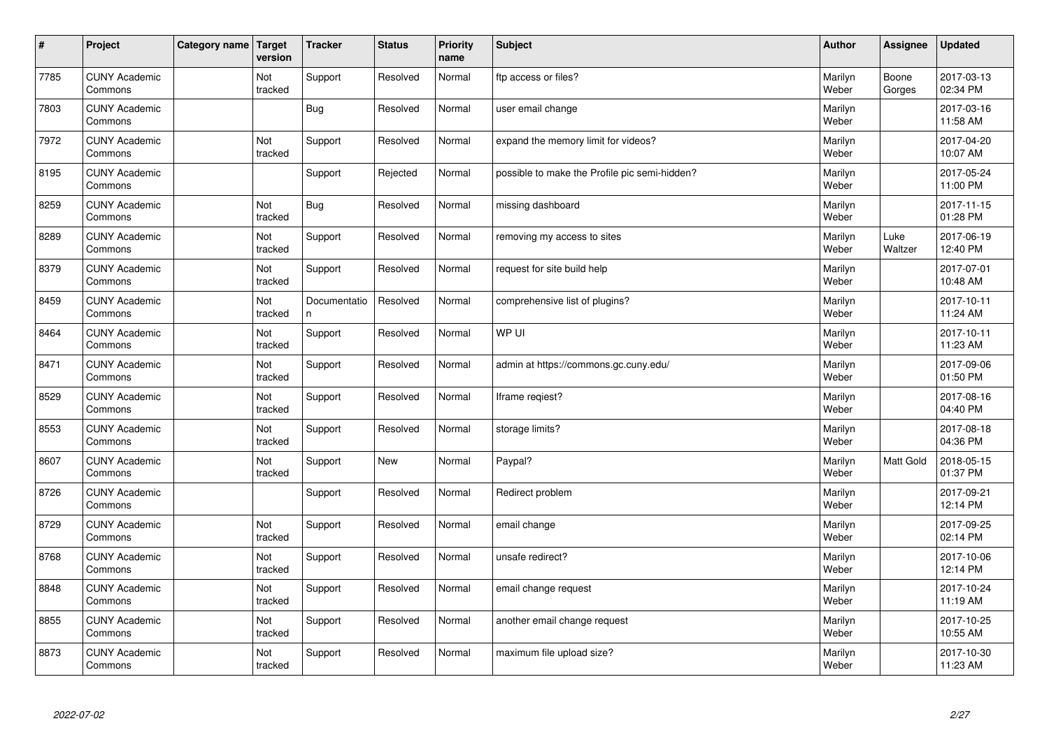| $\vert$ # | Project                         | Category name   Target | version        | <b>Tracker</b>    | <b>Status</b> | <b>Priority</b><br>name | <b>Subject</b>                                | <b>Author</b>    | Assignee        | <b>Updated</b>         |
|-----------|---------------------------------|------------------------|----------------|-------------------|---------------|-------------------------|-----------------------------------------------|------------------|-----------------|------------------------|
| 7785      | <b>CUNY Academic</b><br>Commons |                        | Not<br>tracked | Support           | Resolved      | Normal                  | ftp access or files?                          | Marilyn<br>Weber | Boone<br>Gorges | 2017-03-13<br>02:34 PM |
| 7803      | <b>CUNY Academic</b><br>Commons |                        |                | Bug               | Resolved      | Normal                  | user email change                             | Marilyn<br>Weber |                 | 2017-03-16<br>11:58 AM |
| 7972      | <b>CUNY Academic</b><br>Commons |                        | Not<br>tracked | Support           | Resolved      | Normal                  | expand the memory limit for videos?           | Marilyn<br>Weber |                 | 2017-04-20<br>10:07 AM |
| 8195      | <b>CUNY Academic</b><br>Commons |                        |                | Support           | Rejected      | Normal                  | possible to make the Profile pic semi-hidden? | Marilyn<br>Weber |                 | 2017-05-24<br>11:00 PM |
| 8259      | <b>CUNY Academic</b><br>Commons |                        | Not<br>tracked | <b>Bug</b>        | Resolved      | Normal                  | missing dashboard                             | Marilyn<br>Weber |                 | 2017-11-15<br>01:28 PM |
| 8289      | <b>CUNY Academic</b><br>Commons |                        | Not<br>tracked | Support           | Resolved      | Normal                  | removing my access to sites                   | Marilyn<br>Weber | Luke<br>Waltzer | 2017-06-19<br>12:40 PM |
| 8379      | <b>CUNY Academic</b><br>Commons |                        | Not<br>tracked | Support           | Resolved      | Normal                  | request for site build help                   | Marilyn<br>Weber |                 | 2017-07-01<br>10:48 AM |
| 8459      | <b>CUNY Academic</b><br>Commons |                        | Not<br>tracked | Documentatio<br>n | Resolved      | Normal                  | comprehensive list of plugins?                | Marilyn<br>Weber |                 | 2017-10-11<br>11:24 AM |
| 8464      | <b>CUNY Academic</b><br>Commons |                        | Not<br>tracked | Support           | Resolved      | Normal                  | WP UI                                         | Marilyn<br>Weber |                 | 2017-10-11<br>11:23 AM |
| 8471      | <b>CUNY Academic</b><br>Commons |                        | Not<br>tracked | Support           | Resolved      | Normal                  | admin at https://commons.gc.cuny.edu/         | Marilyn<br>Weber |                 | 2017-09-06<br>01:50 PM |
| 8529      | <b>CUNY Academic</b><br>Commons |                        | Not<br>tracked | Support           | Resolved      | Normal                  | Iframe regiest?                               | Marilyn<br>Weber |                 | 2017-08-16<br>04:40 PM |
| 8553      | <b>CUNY Academic</b><br>Commons |                        | Not<br>tracked | Support           | Resolved      | Normal                  | storage limits?                               | Marilyn<br>Weber |                 | 2017-08-18<br>04:36 PM |
| 8607      | <b>CUNY Academic</b><br>Commons |                        | Not<br>tracked | Support           | <b>New</b>    | Normal                  | Paypal?                                       | Marilyn<br>Weber | Matt Gold       | 2018-05-15<br>01:37 PM |
| 8726      | <b>CUNY Academic</b><br>Commons |                        |                | Support           | Resolved      | Normal                  | Redirect problem                              | Marilyn<br>Weber |                 | 2017-09-21<br>12:14 PM |
| 8729      | <b>CUNY Academic</b><br>Commons |                        | Not<br>tracked | Support           | Resolved      | Normal                  | email change                                  | Marilyn<br>Weber |                 | 2017-09-25<br>02:14 PM |
| 8768      | <b>CUNY Academic</b><br>Commons |                        | Not<br>tracked | Support           | Resolved      | Normal                  | unsafe redirect?                              | Marilyn<br>Weber |                 | 2017-10-06<br>12:14 PM |
| 8848      | <b>CUNY Academic</b><br>Commons |                        | Not<br>tracked | Support           | Resolved      | Normal                  | email change request                          | Marilyn<br>Weber |                 | 2017-10-24<br>11:19 AM |
| 8855      | <b>CUNY Academic</b><br>Commons |                        | Not<br>tracked | Support           | Resolved      | Normal                  | another email change request                  | Marilyn<br>Weber |                 | 2017-10-25<br>10:55 AM |
| 8873      | <b>CUNY Academic</b><br>Commons |                        | Not<br>tracked | Support           | Resolved      | Normal                  | maximum file upload size?                     | Marilyn<br>Weber |                 | 2017-10-30<br>11:23 AM |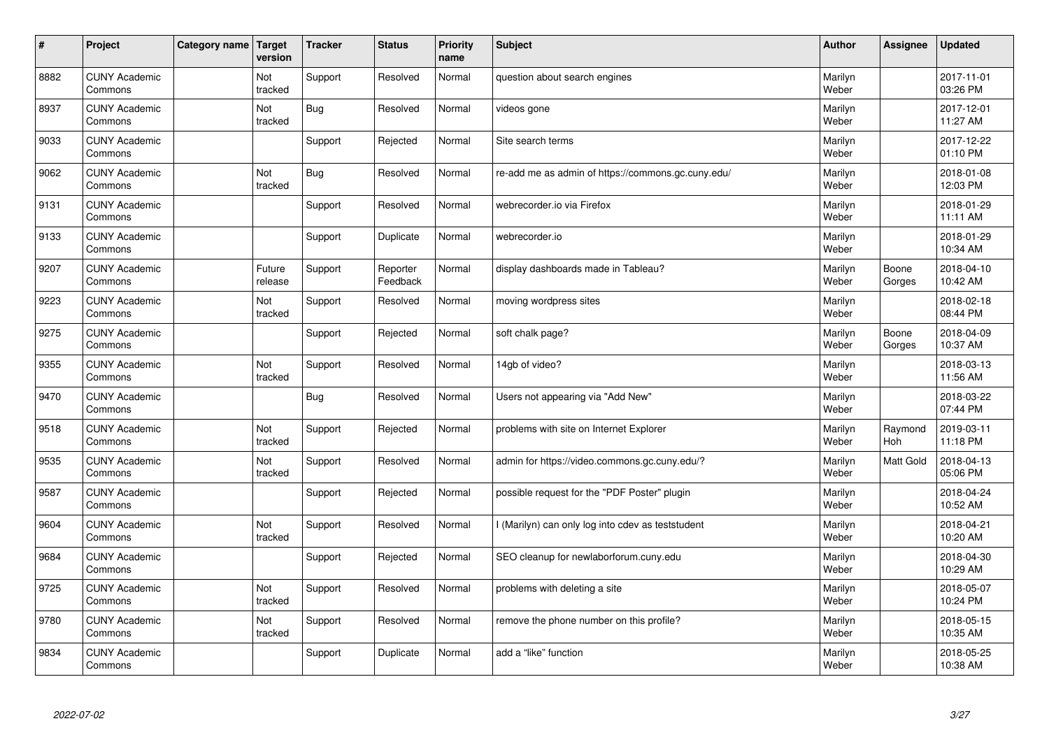| #    | Project                         | Category name   Target | version           | <b>Tracker</b> | <b>Status</b>        | <b>Priority</b><br>name | <b>Subject</b>                                     | <b>Author</b>    | <b>Assignee</b> | <b>Updated</b>         |
|------|---------------------------------|------------------------|-------------------|----------------|----------------------|-------------------------|----------------------------------------------------|------------------|-----------------|------------------------|
| 8882 | <b>CUNY Academic</b><br>Commons |                        | Not<br>tracked    | Support        | Resolved             | Normal                  | question about search engines                      | Marilyn<br>Weber |                 | 2017-11-01<br>03:26 PM |
| 8937 | <b>CUNY Academic</b><br>Commons |                        | Not<br>tracked    | <b>Bug</b>     | Resolved             | Normal                  | videos gone                                        | Marilyn<br>Weber |                 | 2017-12-01<br>11:27 AM |
| 9033 | <b>CUNY Academic</b><br>Commons |                        |                   | Support        | Rejected             | Normal                  | Site search terms                                  | Marilyn<br>Weber |                 | 2017-12-22<br>01:10 PM |
| 9062 | <b>CUNY Academic</b><br>Commons |                        | Not<br>tracked    | <b>Bug</b>     | Resolved             | Normal                  | re-add me as admin of https://commons.gc.cuny.edu/ | Marilyn<br>Weber |                 | 2018-01-08<br>12:03 PM |
| 9131 | <b>CUNY Academic</b><br>Commons |                        |                   | Support        | Resolved             | Normal                  | webrecorder.io via Firefox                         | Marilyn<br>Weber |                 | 2018-01-29<br>11:11 AM |
| 9133 | <b>CUNY Academic</b><br>Commons |                        |                   | Support        | Duplicate            | Normal                  | webrecorder.io                                     | Marilyn<br>Weber |                 | 2018-01-29<br>10:34 AM |
| 9207 | <b>CUNY Academic</b><br>Commons |                        | Future<br>release | Support        | Reporter<br>Feedback | Normal                  | display dashboards made in Tableau?                | Marilyn<br>Weber | Boone<br>Gorges | 2018-04-10<br>10:42 AM |
| 9223 | <b>CUNY Academic</b><br>Commons |                        | Not<br>tracked    | Support        | Resolved             | Normal                  | moving wordpress sites                             | Marilyn<br>Weber |                 | 2018-02-18<br>08:44 PM |
| 9275 | <b>CUNY Academic</b><br>Commons |                        |                   | Support        | Rejected             | Normal                  | soft chalk page?                                   | Marilyn<br>Weber | Boone<br>Gorges | 2018-04-09<br>10:37 AM |
| 9355 | <b>CUNY Academic</b><br>Commons |                        | Not<br>tracked    | Support        | Resolved             | Normal                  | 14gb of video?                                     | Marilyn<br>Weber |                 | 2018-03-13<br>11:56 AM |
| 9470 | <b>CUNY Academic</b><br>Commons |                        |                   | Bug            | Resolved             | Normal                  | Users not appearing via "Add New"                  | Marilyn<br>Weber |                 | 2018-03-22<br>07:44 PM |
| 9518 | <b>CUNY Academic</b><br>Commons |                        | Not<br>tracked    | Support        | Rejected             | Normal                  | problems with site on Internet Explorer            | Marilyn<br>Weber | Raymond<br>Hoh  | 2019-03-11<br>11:18 PM |
| 9535 | <b>CUNY Academic</b><br>Commons |                        | Not<br>tracked    | Support        | Resolved             | Normal                  | admin for https://video.commons.gc.cuny.edu/?      | Marilyn<br>Weber | Matt Gold       | 2018-04-13<br>05:06 PM |
| 9587 | <b>CUNY Academic</b><br>Commons |                        |                   | Support        | Rejected             | Normal                  | possible request for the "PDF Poster" plugin       | Marilyn<br>Weber |                 | 2018-04-24<br>10:52 AM |
| 9604 | <b>CUNY Academic</b><br>Commons |                        | Not<br>tracked    | Support        | Resolved             | Normal                  | I (Marilyn) can only log into cdev as teststudent  | Marilyn<br>Weber |                 | 2018-04-21<br>10:20 AM |
| 9684 | <b>CUNY Academic</b><br>Commons |                        |                   | Support        | Rejected             | Normal                  | SEO cleanup for newlaborforum.cuny.edu             | Marilyn<br>Weber |                 | 2018-04-30<br>10:29 AM |
| 9725 | <b>CUNY Academic</b><br>Commons |                        | Not<br>tracked    | Support        | Resolved             | Normal                  | problems with deleting a site                      | Marilyn<br>Weber |                 | 2018-05-07<br>10:24 PM |
| 9780 | <b>CUNY Academic</b><br>Commons |                        | Not<br>tracked    | Support        | Resolved             | Normal                  | remove the phone number on this profile?           | Marilyn<br>Weber |                 | 2018-05-15<br>10:35 AM |
| 9834 | <b>CUNY Academic</b><br>Commons |                        |                   | Support        | Duplicate            | Normal                  | add a "like" function                              | Marilyn<br>Weber |                 | 2018-05-25<br>10:38 AM |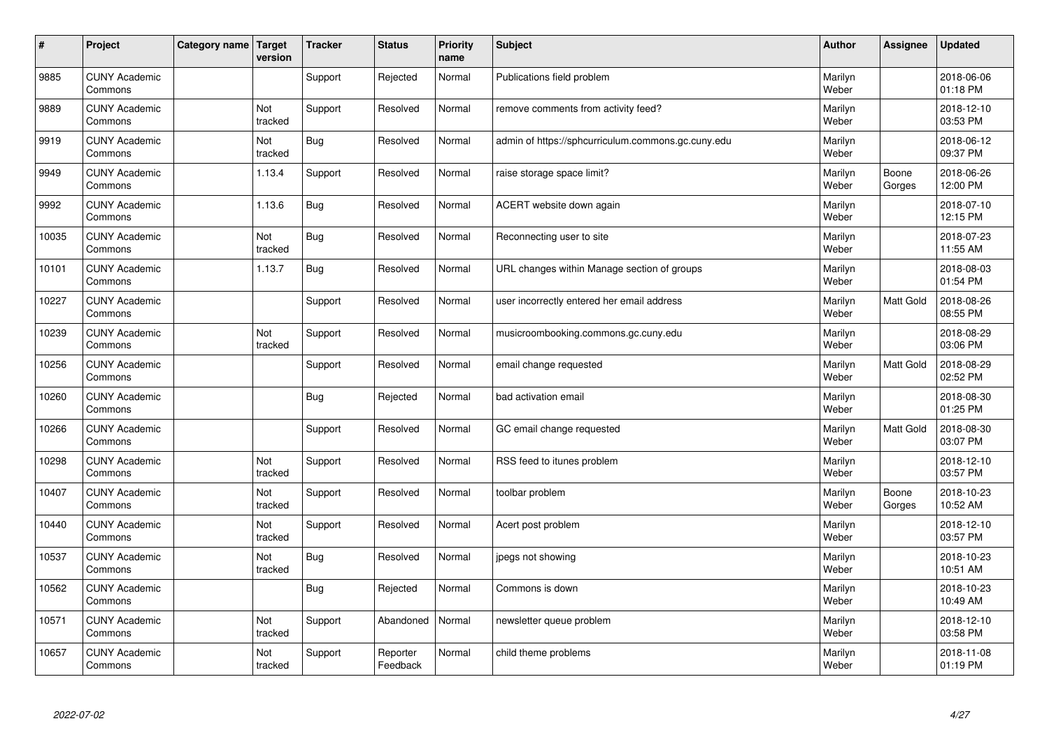| $\vert$ # | Project                         | Category name Target | version        | <b>Tracker</b> | <b>Status</b>        | <b>Priority</b><br>name | <b>Subject</b>                                     | <b>Author</b>    | Assignee         | <b>Updated</b>         |
|-----------|---------------------------------|----------------------|----------------|----------------|----------------------|-------------------------|----------------------------------------------------|------------------|------------------|------------------------|
| 9885      | <b>CUNY Academic</b><br>Commons |                      |                | Support        | Rejected             | Normal                  | Publications field problem                         | Marilyn<br>Weber |                  | 2018-06-06<br>01:18 PM |
| 9889      | <b>CUNY Academic</b><br>Commons |                      | Not<br>tracked | Support        | Resolved             | Normal                  | remove comments from activity feed?                | Marilyn<br>Weber |                  | 2018-12-10<br>03:53 PM |
| 9919      | <b>CUNY Academic</b><br>Commons |                      | Not<br>tracked | Bug            | Resolved             | Normal                  | admin of https://sphcurriculum.commons.gc.cuny.edu | Marilyn<br>Weber |                  | 2018-06-12<br>09:37 PM |
| 9949      | <b>CUNY Academic</b><br>Commons |                      | 1.13.4         | Support        | Resolved             | Normal                  | raise storage space limit?                         | Marilyn<br>Weber | Boone<br>Gorges  | 2018-06-26<br>12:00 PM |
| 9992      | <b>CUNY Academic</b><br>Commons |                      | 1.13.6         | Bug            | Resolved             | Normal                  | ACERT website down again                           | Marilyn<br>Weber |                  | 2018-07-10<br>12:15 PM |
| 10035     | <b>CUNY Academic</b><br>Commons |                      | Not<br>tracked | Bug            | Resolved             | Normal                  | Reconnecting user to site                          | Marilyn<br>Weber |                  | 2018-07-23<br>11:55 AM |
| 10101     | <b>CUNY Academic</b><br>Commons |                      | 1.13.7         | Bug            | Resolved             | Normal                  | URL changes within Manage section of groups        | Marilyn<br>Weber |                  | 2018-08-03<br>01:54 PM |
| 10227     | <b>CUNY Academic</b><br>Commons |                      |                | Support        | Resolved             | Normal                  | user incorrectly entered her email address         | Marilyn<br>Weber | Matt Gold        | 2018-08-26<br>08:55 PM |
| 10239     | <b>CUNY Academic</b><br>Commons |                      | Not<br>tracked | Support        | Resolved             | Normal                  | musicroombooking.commons.gc.cuny.edu               | Marilyn<br>Weber |                  | 2018-08-29<br>03:06 PM |
| 10256     | <b>CUNY Academic</b><br>Commons |                      |                | Support        | Resolved             | Normal                  | email change requested                             | Marilyn<br>Weber | <b>Matt Gold</b> | 2018-08-29<br>02:52 PM |
| 10260     | <b>CUNY Academic</b><br>Commons |                      |                | <b>Bug</b>     | Rejected             | Normal                  | bad activation email                               | Marilyn<br>Weber |                  | 2018-08-30<br>01:25 PM |
| 10266     | <b>CUNY Academic</b><br>Commons |                      |                | Support        | Resolved             | Normal                  | GC email change requested                          | Marilyn<br>Weber | Matt Gold        | 2018-08-30<br>03:07 PM |
| 10298     | <b>CUNY Academic</b><br>Commons |                      | Not<br>tracked | Support        | Resolved             | Normal                  | RSS feed to itunes problem                         | Marilyn<br>Weber |                  | 2018-12-10<br>03:57 PM |
| 10407     | <b>CUNY Academic</b><br>Commons |                      | Not<br>tracked | Support        | Resolved             | Normal                  | toolbar problem                                    | Marilyn<br>Weber | Boone<br>Gorges  | 2018-10-23<br>10:52 AM |
| 10440     | <b>CUNY Academic</b><br>Commons |                      | Not<br>tracked | Support        | Resolved             | Normal                  | Acert post problem                                 | Marilyn<br>Weber |                  | 2018-12-10<br>03:57 PM |
| 10537     | <b>CUNY Academic</b><br>Commons |                      | Not<br>tracked | Bug            | Resolved             | Normal                  | jpegs not showing                                  | Marilyn<br>Weber |                  | 2018-10-23<br>10:51 AM |
| 10562     | <b>CUNY Academic</b><br>Commons |                      |                | Bug            | Rejected             | Normal                  | Commons is down                                    | Marilyn<br>Weber |                  | 2018-10-23<br>10:49 AM |
| 10571     | <b>CUNY Academic</b><br>Commons |                      | Not<br>tracked | Support        | Abandoned            | Normal                  | newsletter queue problem                           | Marilyn<br>Weber |                  | 2018-12-10<br>03:58 PM |
| 10657     | <b>CUNY Academic</b><br>Commons |                      | Not<br>tracked | Support        | Reporter<br>Feedback | Normal                  | child theme problems                               | Marilyn<br>Weber |                  | 2018-11-08<br>01:19 PM |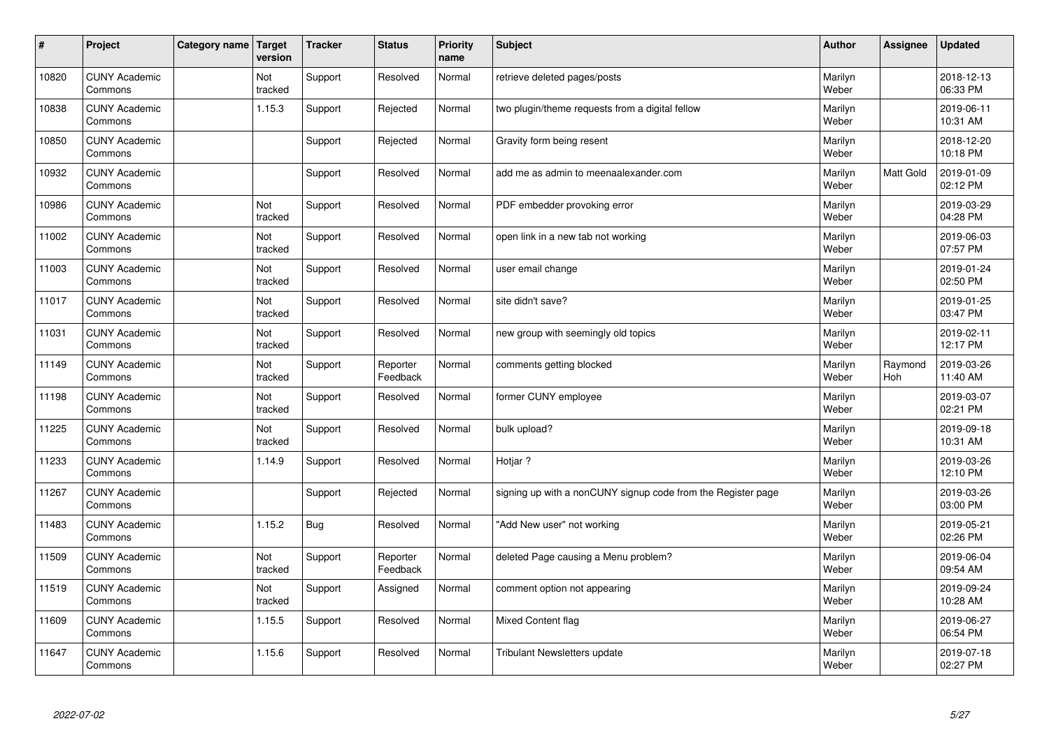| $\sharp$ | Project                         | Category name   Target | version        | <b>Tracker</b> | <b>Status</b>        | <b>Priority</b><br>name | <b>Subject</b>                                               | <b>Author</b>    | Assignee              | <b>Updated</b>         |
|----------|---------------------------------|------------------------|----------------|----------------|----------------------|-------------------------|--------------------------------------------------------------|------------------|-----------------------|------------------------|
| 10820    | <b>CUNY Academic</b><br>Commons |                        | Not<br>tracked | Support        | Resolved             | Normal                  | retrieve deleted pages/posts                                 | Marilyn<br>Weber |                       | 2018-12-13<br>06:33 PM |
| 10838    | <b>CUNY Academic</b><br>Commons |                        | 1.15.3         | Support        | Rejected             | Normal                  | two plugin/theme requests from a digital fellow              | Marilyn<br>Weber |                       | 2019-06-11<br>10:31 AM |
| 10850    | <b>CUNY Academic</b><br>Commons |                        |                | Support        | Rejected             | Normal                  | Gravity form being resent                                    | Marilyn<br>Weber |                       | 2018-12-20<br>10:18 PM |
| 10932    | <b>CUNY Academic</b><br>Commons |                        |                | Support        | Resolved             | Normal                  | add me as admin to meenaalexander.com                        | Marilyn<br>Weber | Matt Gold             | 2019-01-09<br>02:12 PM |
| 10986    | <b>CUNY Academic</b><br>Commons |                        | Not<br>tracked | Support        | Resolved             | Normal                  | PDF embedder provoking error                                 | Marilyn<br>Weber |                       | 2019-03-29<br>04:28 PM |
| 11002    | <b>CUNY Academic</b><br>Commons |                        | Not<br>tracked | Support        | Resolved             | Normal                  | open link in a new tab not working                           | Marilyn<br>Weber |                       | 2019-06-03<br>07:57 PM |
| 11003    | <b>CUNY Academic</b><br>Commons |                        | Not<br>tracked | Support        | Resolved             | Normal                  | user email change                                            | Marilyn<br>Weber |                       | 2019-01-24<br>02:50 PM |
| 11017    | <b>CUNY Academic</b><br>Commons |                        | Not<br>tracked | Support        | Resolved             | Normal                  | site didn't save?                                            | Marilyn<br>Weber |                       | 2019-01-25<br>03:47 PM |
| 11031    | <b>CUNY Academic</b><br>Commons |                        | Not<br>tracked | Support        | Resolved             | Normal                  | new group with seemingly old topics                          | Marilyn<br>Weber |                       | 2019-02-11<br>12:17 PM |
| 11149    | <b>CUNY Academic</b><br>Commons |                        | Not<br>tracked | Support        | Reporter<br>Feedback | Normal                  | comments getting blocked                                     | Marilyn<br>Weber | Raymond<br><b>Hoh</b> | 2019-03-26<br>11:40 AM |
| 11198    | <b>CUNY Academic</b><br>Commons |                        | Not<br>tracked | Support        | Resolved             | Normal                  | former CUNY employee                                         | Marilyn<br>Weber |                       | 2019-03-07<br>02:21 PM |
| 11225    | <b>CUNY Academic</b><br>Commons |                        | Not<br>tracked | Support        | Resolved             | Normal                  | bulk upload?                                                 | Marilyn<br>Weber |                       | 2019-09-18<br>10:31 AM |
| 11233    | <b>CUNY Academic</b><br>Commons |                        | 1.14.9         | Support        | Resolved             | Normal                  | Hotjar?                                                      | Marilyn<br>Weber |                       | 2019-03-26<br>12:10 PM |
| 11267    | <b>CUNY Academic</b><br>Commons |                        |                | Support        | Rejected             | Normal                  | signing up with a nonCUNY signup code from the Register page | Marilyn<br>Weber |                       | 2019-03-26<br>03:00 PM |
| 11483    | <b>CUNY Academic</b><br>Commons |                        | 1.15.2         | <b>Bug</b>     | Resolved             | Normal                  | "Add New user" not working                                   | Marilyn<br>Weber |                       | 2019-05-21<br>02:26 PM |
| 11509    | <b>CUNY Academic</b><br>Commons |                        | Not<br>tracked | Support        | Reporter<br>Feedback | Normal                  | deleted Page causing a Menu problem?                         | Marilyn<br>Weber |                       | 2019-06-04<br>09:54 AM |
| 11519    | <b>CUNY Academic</b><br>Commons |                        | Not<br>tracked | Support        | Assigned             | Normal                  | comment option not appearing                                 | Marilyn<br>Weber |                       | 2019-09-24<br>10:28 AM |
| 11609    | <b>CUNY Academic</b><br>Commons |                        | 1.15.5         | Support        | Resolved             | Normal                  | <b>Mixed Content flag</b>                                    | Marilyn<br>Weber |                       | 2019-06-27<br>06:54 PM |
| 11647    | <b>CUNY Academic</b><br>Commons |                        | 1.15.6         | Support        | Resolved             | Normal                  | Tribulant Newsletters update                                 | Marilyn<br>Weber |                       | 2019-07-18<br>02:27 PM |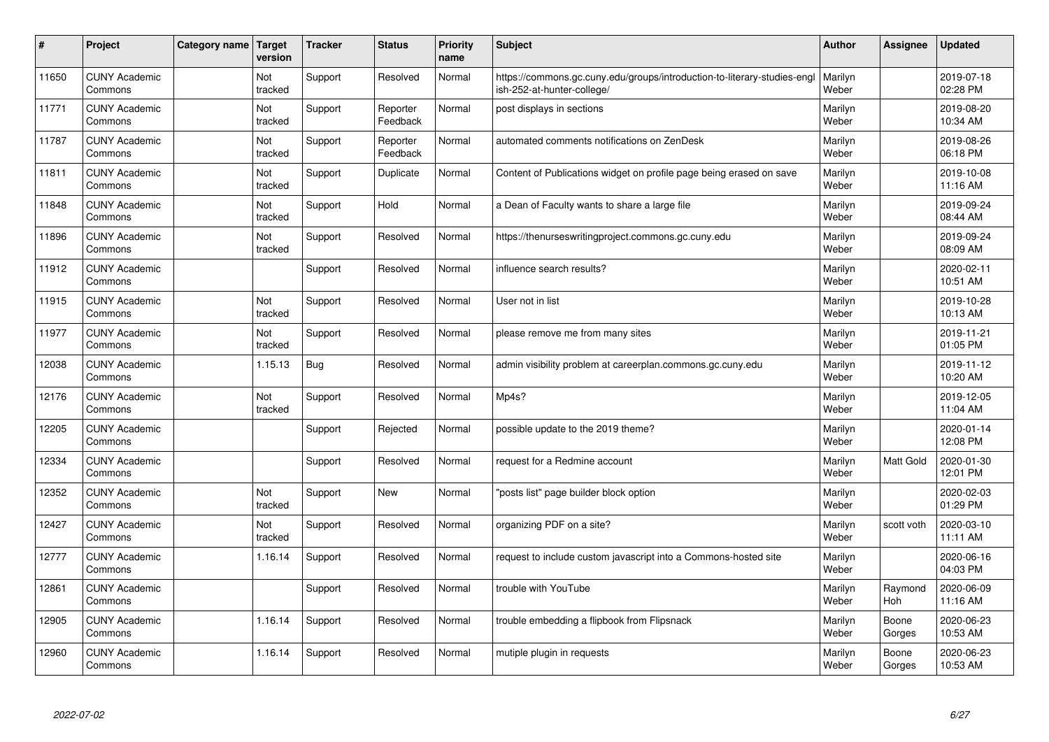| #     | Project                         | Category name | <b>Target</b><br>version | <b>Tracker</b> | <b>Status</b>        | Priority<br>name | <b>Subject</b>                                                                                         | <b>Author</b>    | Assignee        | <b>Updated</b>         |
|-------|---------------------------------|---------------|--------------------------|----------------|----------------------|------------------|--------------------------------------------------------------------------------------------------------|------------------|-----------------|------------------------|
| 11650 | <b>CUNY Academic</b><br>Commons |               | Not<br>tracked           | Support        | Resolved             | Normal           | https://commons.gc.cuny.edu/groups/introduction-to-literary-studies-engl<br>ish-252-at-hunter-college/ | Marilyn<br>Weber |                 | 2019-07-18<br>02:28 PM |
| 11771 | <b>CUNY Academic</b><br>Commons |               | Not<br>tracked           | Support        | Reporter<br>Feedback | Normal           | post displays in sections                                                                              | Marilyn<br>Weber |                 | 2019-08-20<br>10:34 AM |
| 11787 | <b>CUNY Academic</b><br>Commons |               | Not<br>tracked           | Support        | Reporter<br>Feedback | Normal           | automated comments notifications on ZenDesk                                                            | Marilyn<br>Weber |                 | 2019-08-26<br>06:18 PM |
| 11811 | <b>CUNY Academic</b><br>Commons |               | Not<br>tracked           | Support        | Duplicate            | Normal           | Content of Publications widget on profile page being erased on save                                    | Marilyn<br>Weber |                 | 2019-10-08<br>11:16 AM |
| 11848 | <b>CUNY Academic</b><br>Commons |               | Not<br>tracked           | Support        | Hold                 | Normal           | a Dean of Faculty wants to share a large file                                                          | Marilyn<br>Weber |                 | 2019-09-24<br>08:44 AM |
| 11896 | <b>CUNY Academic</b><br>Commons |               | Not<br>tracked           | Support        | Resolved             | Normal           | https://thenurseswritingproject.commons.gc.cuny.edu                                                    | Marilyn<br>Weber |                 | 2019-09-24<br>08:09 AM |
| 11912 | <b>CUNY Academic</b><br>Commons |               |                          | Support        | Resolved             | Normal           | influence search results?                                                                              | Marilyn<br>Weber |                 | 2020-02-11<br>10:51 AM |
| 11915 | <b>CUNY Academic</b><br>Commons |               | Not<br>tracked           | Support        | Resolved             | Normal           | User not in list                                                                                       | Marilyn<br>Weber |                 | 2019-10-28<br>10:13 AM |
| 11977 | <b>CUNY Academic</b><br>Commons |               | Not<br>tracked           | Support        | Resolved             | Normal           | please remove me from many sites                                                                       | Marilyn<br>Weber |                 | 2019-11-21<br>01:05 PM |
| 12038 | <b>CUNY Academic</b><br>Commons |               | 1.15.13                  | <b>Bug</b>     | Resolved             | Normal           | admin visibility problem at careerplan.commons.gc.cuny.edu                                             | Marilyn<br>Weber |                 | 2019-11-12<br>10:20 AM |
| 12176 | <b>CUNY Academic</b><br>Commons |               | Not<br>tracked           | Support        | Resolved             | Normal           | Mp4s?                                                                                                  | Marilyn<br>Weber |                 | 2019-12-05<br>11:04 AM |
| 12205 | <b>CUNY Academic</b><br>Commons |               |                          | Support        | Rejected             | Normal           | possible update to the 2019 theme?                                                                     | Marilyn<br>Weber |                 | 2020-01-14<br>12:08 PM |
| 12334 | <b>CUNY Academic</b><br>Commons |               |                          | Support        | Resolved             | Normal           | request for a Redmine account                                                                          | Marilyn<br>Weber | Matt Gold       | 2020-01-30<br>12:01 PM |
| 12352 | <b>CUNY Academic</b><br>Commons |               | Not<br>tracked           | Support        | New                  | Normal           | "posts list" page builder block option                                                                 | Marilyn<br>Weber |                 | 2020-02-03<br>01:29 PM |
| 12427 | <b>CUNY Academic</b><br>Commons |               | Not<br>tracked           | Support        | Resolved             | Normal           | organizing PDF on a site?                                                                              | Marilyn<br>Weber | scott voth      | 2020-03-10<br>11:11 AM |
| 12777 | <b>CUNY Academic</b><br>Commons |               | 1.16.14                  | Support        | Resolved             | Normal           | request to include custom javascript into a Commons-hosted site                                        | Marilyn<br>Weber |                 | 2020-06-16<br>04:03 PM |
| 12861 | <b>CUNY Academic</b><br>Commons |               |                          | Support        | Resolved             | Normal           | trouble with YouTube                                                                                   | Marilyn<br>Weber | Raymond<br>Hoh  | 2020-06-09<br>11:16 AM |
| 12905 | <b>CUNY Academic</b><br>Commons |               | 1.16.14                  | Support        | Resolved             | Normal           | trouble embedding a flipbook from Flipsnack                                                            | Marilyn<br>Weber | Boone<br>Gorges | 2020-06-23<br>10:53 AM |
| 12960 | <b>CUNY Academic</b><br>Commons |               | 1.16.14                  | Support        | Resolved             | Normal           | mutiple plugin in requests                                                                             | Marilyn<br>Weber | Boone<br>Gorges | 2020-06-23<br>10:53 AM |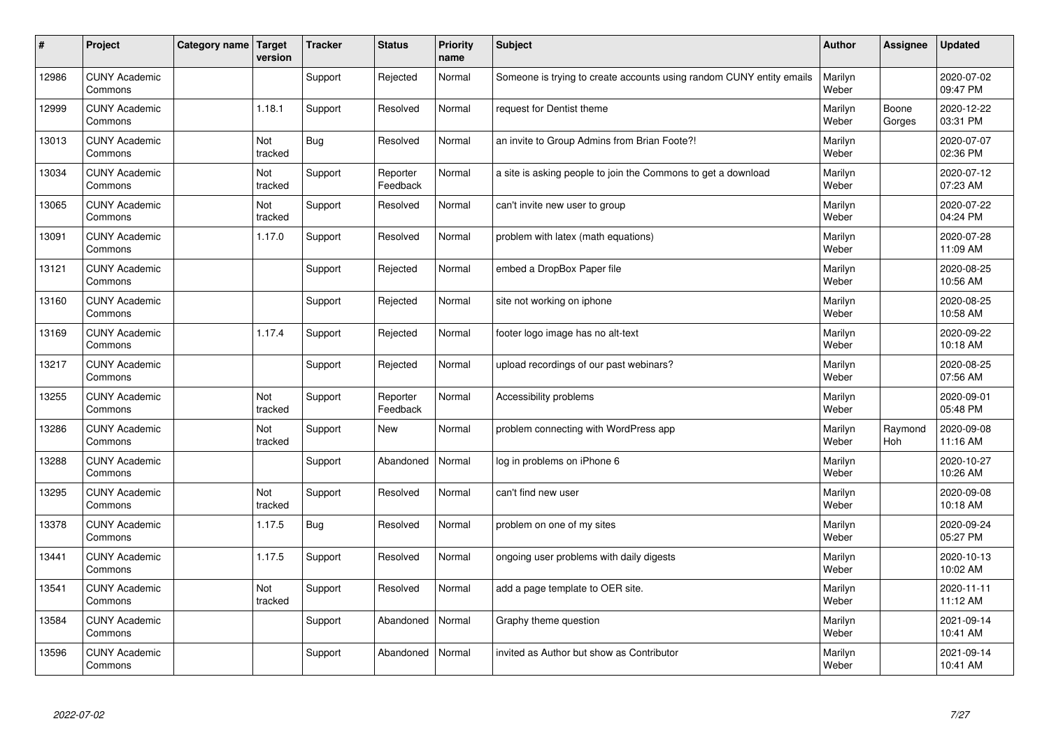| #     | Project                         | Category name   Target | version        | <b>Tracker</b> | <b>Status</b>        | <b>Priority</b><br>name | <b>Subject</b>                                                       | <b>Author</b>    | Assignee        | <b>Updated</b>         |
|-------|---------------------------------|------------------------|----------------|----------------|----------------------|-------------------------|----------------------------------------------------------------------|------------------|-----------------|------------------------|
| 12986 | <b>CUNY Academic</b><br>Commons |                        |                | Support        | Rejected             | Normal                  | Someone is trying to create accounts using random CUNY entity emails | Marilyn<br>Weber |                 | 2020-07-02<br>09:47 PM |
| 12999 | <b>CUNY Academic</b><br>Commons |                        | 1.18.1         | Support        | Resolved             | Normal                  | request for Dentist theme                                            | Marilyn<br>Weber | Boone<br>Gorges | 2020-12-22<br>03:31 PM |
| 13013 | <b>CUNY Academic</b><br>Commons |                        | Not<br>tracked | <b>Bug</b>     | Resolved             | Normal                  | an invite to Group Admins from Brian Foote?!                         | Marilyn<br>Weber |                 | 2020-07-07<br>02:36 PM |
| 13034 | <b>CUNY Academic</b><br>Commons |                        | Not<br>tracked | Support        | Reporter<br>Feedback | Normal                  | a site is asking people to join the Commons to get a download        | Marilyn<br>Weber |                 | 2020-07-12<br>07:23 AM |
| 13065 | <b>CUNY Academic</b><br>Commons |                        | Not<br>tracked | Support        | Resolved             | Normal                  | can't invite new user to group                                       | Marilyn<br>Weber |                 | 2020-07-22<br>04:24 PM |
| 13091 | <b>CUNY Academic</b><br>Commons |                        | 1.17.0         | Support        | Resolved             | Normal                  | problem with latex (math equations)                                  | Marilyn<br>Weber |                 | 2020-07-28<br>11:09 AM |
| 13121 | <b>CUNY Academic</b><br>Commons |                        |                | Support        | Rejected             | Normal                  | embed a DropBox Paper file                                           | Marilyn<br>Weber |                 | 2020-08-25<br>10:56 AM |
| 13160 | <b>CUNY Academic</b><br>Commons |                        |                | Support        | Rejected             | Normal                  | site not working on iphone                                           | Marilyn<br>Weber |                 | 2020-08-25<br>10:58 AM |
| 13169 | <b>CUNY Academic</b><br>Commons |                        | 1.17.4         | Support        | Rejected             | Normal                  | footer logo image has no alt-text                                    | Marilyn<br>Weber |                 | 2020-09-22<br>10:18 AM |
| 13217 | <b>CUNY Academic</b><br>Commons |                        |                | Support        | Rejected             | Normal                  | upload recordings of our past webinars?                              | Marilyn<br>Weber |                 | 2020-08-25<br>07:56 AM |
| 13255 | <b>CUNY Academic</b><br>Commons |                        | Not<br>tracked | Support        | Reporter<br>Feedback | Normal                  | Accessibility problems                                               | Marilyn<br>Weber |                 | 2020-09-01<br>05:48 PM |
| 13286 | <b>CUNY Academic</b><br>Commons |                        | Not<br>tracked | Support        | <b>New</b>           | Normal                  | problem connecting with WordPress app                                | Marilyn<br>Weber | Raymond<br>Hoh  | 2020-09-08<br>11:16 AM |
| 13288 | <b>CUNY Academic</b><br>Commons |                        |                | Support        | Abandoned            | Normal                  | log in problems on iPhone 6                                          | Marilyn<br>Weber |                 | 2020-10-27<br>10:26 AM |
| 13295 | <b>CUNY Academic</b><br>Commons |                        | Not<br>tracked | Support        | Resolved             | Normal                  | can't find new user                                                  | Marilyn<br>Weber |                 | 2020-09-08<br>10:18 AM |
| 13378 | <b>CUNY Academic</b><br>Commons |                        | 1.17.5         | <b>Bug</b>     | Resolved             | Normal                  | problem on one of my sites                                           | Marilyn<br>Weber |                 | 2020-09-24<br>05:27 PM |
| 13441 | <b>CUNY Academic</b><br>Commons |                        | 1.17.5         | Support        | Resolved             | Normal                  | ongoing user problems with daily digests                             | Marilyn<br>Weber |                 | 2020-10-13<br>10:02 AM |
| 13541 | <b>CUNY Academic</b><br>Commons |                        | Not<br>tracked | Support        | Resolved             | Normal                  | add a page template to OER site.                                     | Marilyn<br>Weber |                 | 2020-11-11<br>11:12 AM |
| 13584 | <b>CUNY Academic</b><br>Commons |                        |                | Support        | Abandoned            | Normal                  | Graphy theme question                                                | Marilyn<br>Weber |                 | 2021-09-14<br>10:41 AM |
| 13596 | <b>CUNY Academic</b><br>Commons |                        |                | Support        | Abandoned            | Normal                  | invited as Author but show as Contributor                            | Marilyn<br>Weber |                 | 2021-09-14<br>10:41 AM |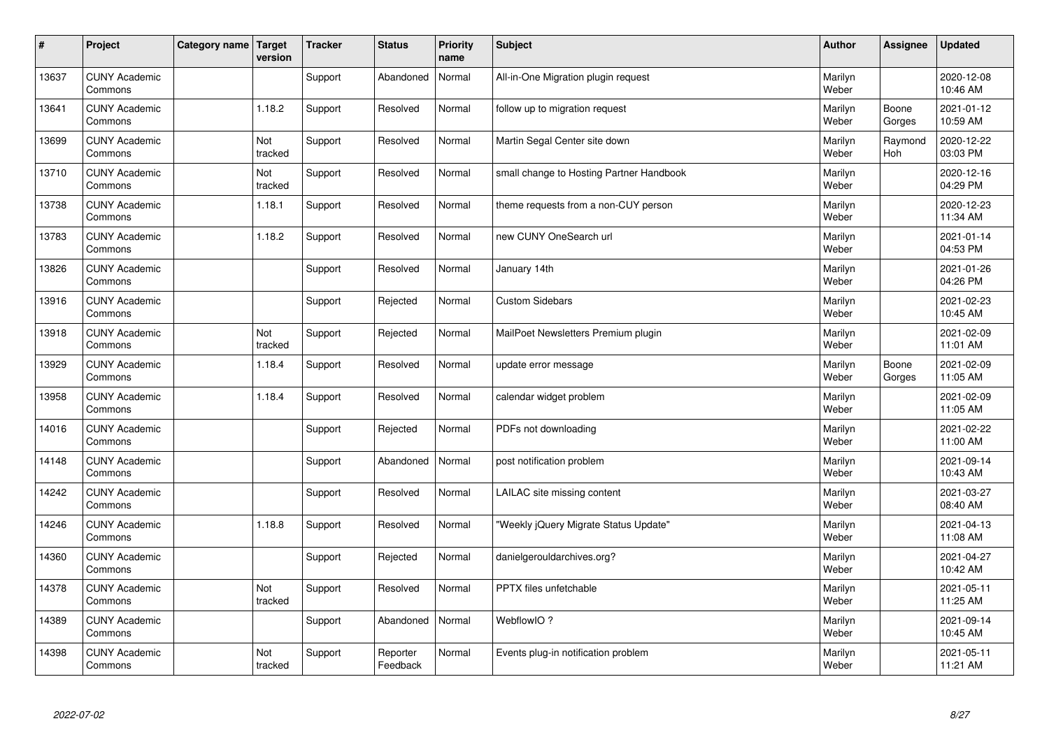| $\vert$ # | Project                         | Category name   Target | version        | <b>Tracker</b> | <b>Status</b>        | <b>Priority</b><br>name | <b>Subject</b>                           | <b>Author</b>    | <b>Assignee</b> | <b>Updated</b>         |
|-----------|---------------------------------|------------------------|----------------|----------------|----------------------|-------------------------|------------------------------------------|------------------|-----------------|------------------------|
| 13637     | <b>CUNY Academic</b><br>Commons |                        |                | Support        | Abandoned            | Normal                  | All-in-One Migration plugin request      | Marilyn<br>Weber |                 | 2020-12-08<br>10:46 AM |
| 13641     | <b>CUNY Academic</b><br>Commons |                        | 1.18.2         | Support        | Resolved             | Normal                  | follow up to migration request           | Marilyn<br>Weber | Boone<br>Gorges | 2021-01-12<br>10:59 AM |
| 13699     | <b>CUNY Academic</b><br>Commons |                        | Not<br>tracked | Support        | Resolved             | Normal                  | Martin Segal Center site down            | Marilyn<br>Weber | Raymond<br>Hoh  | 2020-12-22<br>03:03 PM |
| 13710     | <b>CUNY Academic</b><br>Commons |                        | Not<br>tracked | Support        | Resolved             | Normal                  | small change to Hosting Partner Handbook | Marilyn<br>Weber |                 | 2020-12-16<br>04:29 PM |
| 13738     | <b>CUNY Academic</b><br>Commons |                        | 1.18.1         | Support        | Resolved             | Normal                  | theme requests from a non-CUY person     | Marilyn<br>Weber |                 | 2020-12-23<br>11:34 AM |
| 13783     | <b>CUNY Academic</b><br>Commons |                        | 1.18.2         | Support        | Resolved             | Normal                  | new CUNY OneSearch url                   | Marilyn<br>Weber |                 | 2021-01-14<br>04:53 PM |
| 13826     | <b>CUNY Academic</b><br>Commons |                        |                | Support        | Resolved             | Normal                  | January 14th                             | Marilyn<br>Weber |                 | 2021-01-26<br>04:26 PM |
| 13916     | <b>CUNY Academic</b><br>Commons |                        |                | Support        | Rejected             | Normal                  | <b>Custom Sidebars</b>                   | Marilyn<br>Weber |                 | 2021-02-23<br>10:45 AM |
| 13918     | <b>CUNY Academic</b><br>Commons |                        | Not<br>tracked | Support        | Rejected             | Normal                  | MailPoet Newsletters Premium plugin      | Marilyn<br>Weber |                 | 2021-02-09<br>11:01 AM |
| 13929     | <b>CUNY Academic</b><br>Commons |                        | 1.18.4         | Support        | Resolved             | Normal                  | update error message                     | Marilyn<br>Weber | Boone<br>Gorges | 2021-02-09<br>11:05 AM |
| 13958     | <b>CUNY Academic</b><br>Commons |                        | 1.18.4         | Support        | Resolved             | Normal                  | calendar widget problem                  | Marilyn<br>Weber |                 | 2021-02-09<br>11:05 AM |
| 14016     | <b>CUNY Academic</b><br>Commons |                        |                | Support        | Rejected             | Normal                  | PDFs not downloading                     | Marilyn<br>Weber |                 | 2021-02-22<br>11:00 AM |
| 14148     | <b>CUNY Academic</b><br>Commons |                        |                | Support        | Abandoned            | Normal                  | post notification problem                | Marilyn<br>Weber |                 | 2021-09-14<br>10:43 AM |
| 14242     | <b>CUNY Academic</b><br>Commons |                        |                | Support        | Resolved             | Normal                  | LAILAC site missing content              | Marilyn<br>Weber |                 | 2021-03-27<br>08:40 AM |
| 14246     | <b>CUNY Academic</b><br>Commons |                        | 1.18.8         | Support        | Resolved             | Normal                  | 'Weekly jQuery Migrate Status Update"    | Marilyn<br>Weber |                 | 2021-04-13<br>11:08 AM |
| 14360     | <b>CUNY Academic</b><br>Commons |                        |                | Support        | Rejected             | Normal                  | danielgerouldarchives.org?               | Marilyn<br>Weber |                 | 2021-04-27<br>10:42 AM |
| 14378     | <b>CUNY Academic</b><br>Commons |                        | Not<br>tracked | Support        | Resolved             | Normal                  | PPTX files unfetchable                   | Marilyn<br>Weber |                 | 2021-05-11<br>11:25 AM |
| 14389     | <b>CUNY Academic</b><br>Commons |                        |                | Support        | Abandoned            | Normal                  | WebflowIO?                               | Marilyn<br>Weber |                 | 2021-09-14<br>10:45 AM |
| 14398     | <b>CUNY Academic</b><br>Commons |                        | Not<br>tracked | Support        | Reporter<br>Feedback | Normal                  | Events plug-in notification problem      | Marilyn<br>Weber |                 | 2021-05-11<br>11:21 AM |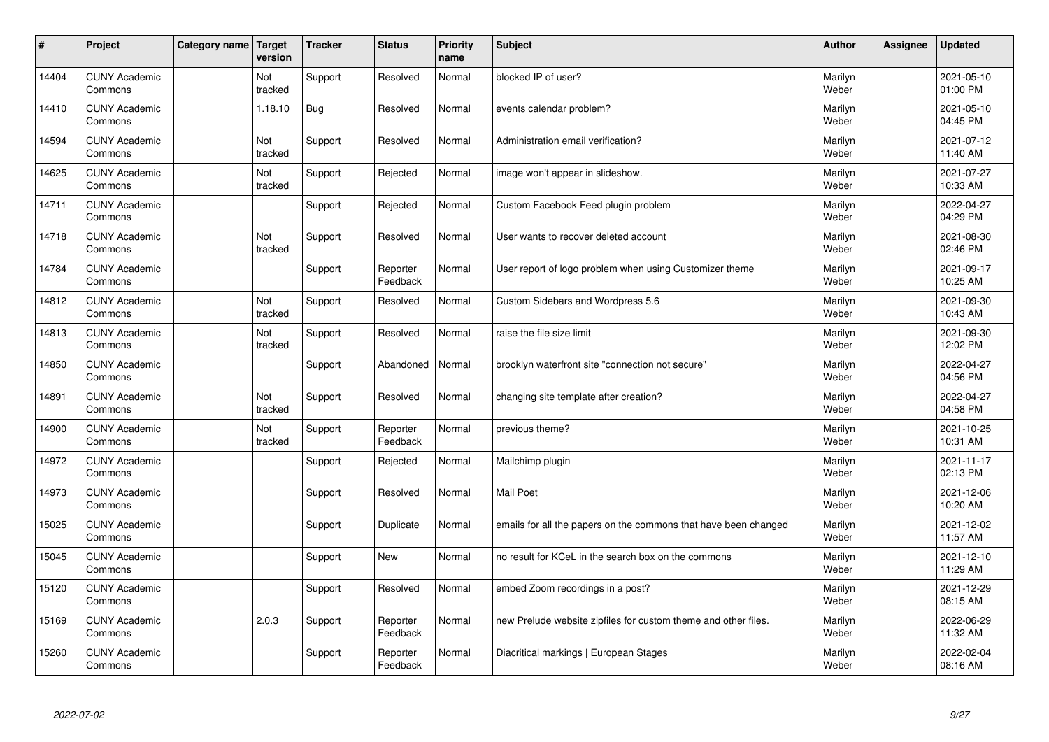| #     | Project                         | Category name | Target<br>version | <b>Tracker</b> | <b>Status</b>        | <b>Priority</b><br>name | <b>Subject</b>                                                  | <b>Author</b>    | Assignee | <b>Updated</b>         |
|-------|---------------------------------|---------------|-------------------|----------------|----------------------|-------------------------|-----------------------------------------------------------------|------------------|----------|------------------------|
| 14404 | <b>CUNY Academic</b><br>Commons |               | Not<br>tracked    | Support        | Resolved             | Normal                  | blocked IP of user?                                             | Marilyn<br>Weber |          | 2021-05-10<br>01:00 PM |
| 14410 | <b>CUNY Academic</b><br>Commons |               | 1.18.10           | Bug            | Resolved             | Normal                  | events calendar problem?                                        | Marilyn<br>Weber |          | 2021-05-10<br>04:45 PM |
| 14594 | <b>CUNY Academic</b><br>Commons |               | Not<br>tracked    | Support        | Resolved             | Normal                  | Administration email verification?                              | Marilyn<br>Weber |          | 2021-07-12<br>11:40 AM |
| 14625 | <b>CUNY Academic</b><br>Commons |               | Not<br>tracked    | Support        | Rejected             | Normal                  | image won't appear in slideshow.                                | Marilyn<br>Weber |          | 2021-07-27<br>10:33 AM |
| 14711 | <b>CUNY Academic</b><br>Commons |               |                   | Support        | Rejected             | Normal                  | Custom Facebook Feed plugin problem                             | Marilyn<br>Weber |          | 2022-04-27<br>04:29 PM |
| 14718 | <b>CUNY Academic</b><br>Commons |               | Not<br>tracked    | Support        | Resolved             | Normal                  | User wants to recover deleted account                           | Marilyn<br>Weber |          | 2021-08-30<br>02:46 PM |
| 14784 | <b>CUNY Academic</b><br>Commons |               |                   | Support        | Reporter<br>Feedback | Normal                  | User report of logo problem when using Customizer theme         | Marilyn<br>Weber |          | 2021-09-17<br>10:25 AM |
| 14812 | <b>CUNY Academic</b><br>Commons |               | Not<br>tracked    | Support        | Resolved             | Normal                  | Custom Sidebars and Wordpress 5.6                               | Marilyn<br>Weber |          | 2021-09-30<br>10:43 AM |
| 14813 | <b>CUNY Academic</b><br>Commons |               | Not<br>tracked    | Support        | Resolved             | Normal                  | raise the file size limit                                       | Marilyn<br>Weber |          | 2021-09-30<br>12:02 PM |
| 14850 | <b>CUNY Academic</b><br>Commons |               |                   | Support        | Abandoned            | Normal                  | brooklyn waterfront site "connection not secure"                | Marilyn<br>Weber |          | 2022-04-27<br>04:56 PM |
| 14891 | <b>CUNY Academic</b><br>Commons |               | Not<br>tracked    | Support        | Resolved             | Normal                  | changing site template after creation?                          | Marilyn<br>Weber |          | 2022-04-27<br>04:58 PM |
| 14900 | <b>CUNY Academic</b><br>Commons |               | Not<br>tracked    | Support        | Reporter<br>Feedback | Normal                  | previous theme?                                                 | Marilyn<br>Weber |          | 2021-10-25<br>10:31 AM |
| 14972 | <b>CUNY Academic</b><br>Commons |               |                   | Support        | Rejected             | Normal                  | Mailchimp plugin                                                | Marilyn<br>Weber |          | 2021-11-17<br>02:13 PM |
| 14973 | <b>CUNY Academic</b><br>Commons |               |                   | Support        | Resolved             | Normal                  | Mail Poet                                                       | Marilyn<br>Weber |          | 2021-12-06<br>10:20 AM |
| 15025 | <b>CUNY Academic</b><br>Commons |               |                   | Support        | Duplicate            | Normal                  | emails for all the papers on the commons that have been changed | Marilyn<br>Weber |          | 2021-12-02<br>11:57 AM |
| 15045 | <b>CUNY Academic</b><br>Commons |               |                   | Support        | New                  | Normal                  | no result for KCeL in the search box on the commons             | Marilyn<br>Weber |          | 2021-12-10<br>11:29 AM |
| 15120 | <b>CUNY Academic</b><br>Commons |               |                   | Support        | Resolved             | Normal                  | embed Zoom recordings in a post?                                | Marilyn<br>Weber |          | 2021-12-29<br>08:15 AM |
| 15169 | <b>CUNY Academic</b><br>Commons |               | 2.0.3             | Support        | Reporter<br>Feedback | Normal                  | new Prelude website zipfiles for custom theme and other files.  | Marilyn<br>Weber |          | 2022-06-29<br>11:32 AM |
| 15260 | <b>CUNY Academic</b><br>Commons |               |                   | Support        | Reporter<br>Feedback | Normal                  | Diacritical markings   European Stages                          | Marilyn<br>Weber |          | 2022-02-04<br>08:16 AM |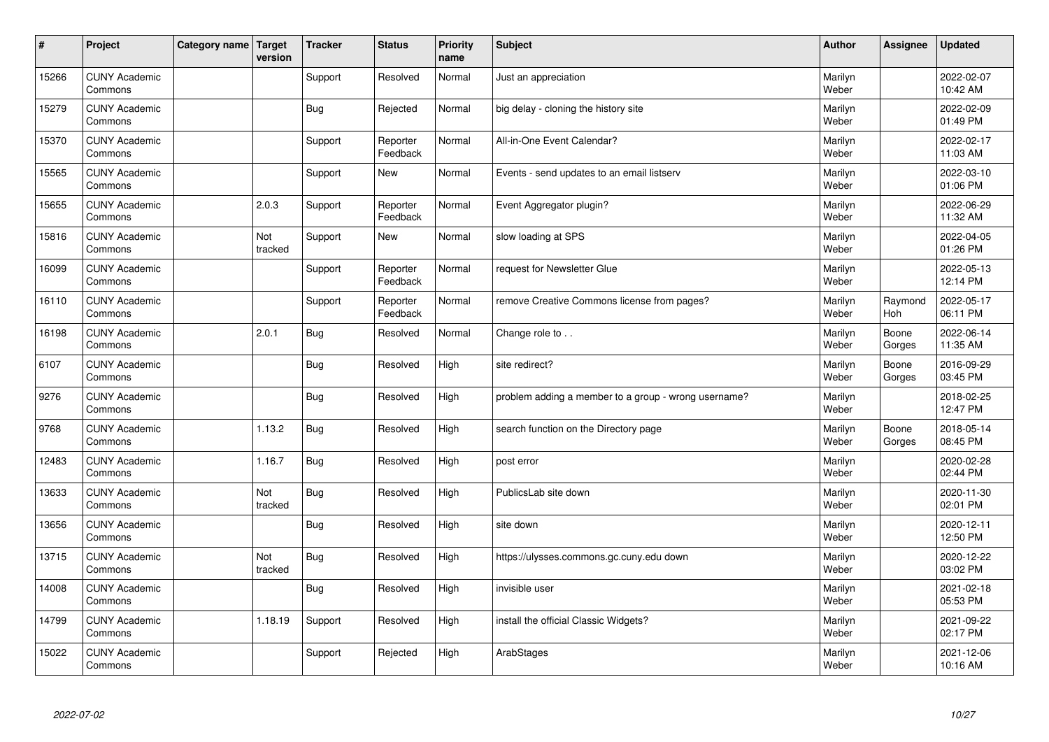| $\vert$ # | Project                         | Category name   Target | version        | <b>Tracker</b> | <b>Status</b>        | <b>Priority</b><br>name | <b>Subject</b>                                       | <b>Author</b>    | <b>Assignee</b> | <b>Updated</b>         |
|-----------|---------------------------------|------------------------|----------------|----------------|----------------------|-------------------------|------------------------------------------------------|------------------|-----------------|------------------------|
| 15266     | <b>CUNY Academic</b><br>Commons |                        |                | Support        | Resolved             | Normal                  | Just an appreciation                                 | Marilyn<br>Weber |                 | 2022-02-07<br>10:42 AM |
| 15279     | <b>CUNY Academic</b><br>Commons |                        |                | <b>Bug</b>     | Rejected             | Normal                  | big delay - cloning the history site                 | Marilyn<br>Weber |                 | 2022-02-09<br>01:49 PM |
| 15370     | <b>CUNY Academic</b><br>Commons |                        |                | Support        | Reporter<br>Feedback | Normal                  | All-in-One Event Calendar?                           | Marilyn<br>Weber |                 | 2022-02-17<br>11:03 AM |
| 15565     | <b>CUNY Academic</b><br>Commons |                        |                | Support        | <b>New</b>           | Normal                  | Events - send updates to an email listserv           | Marilyn<br>Weber |                 | 2022-03-10<br>01:06 PM |
| 15655     | <b>CUNY Academic</b><br>Commons |                        | 2.0.3          | Support        | Reporter<br>Feedback | Normal                  | Event Aggregator plugin?                             | Marilyn<br>Weber |                 | 2022-06-29<br>11:32 AM |
| 15816     | <b>CUNY Academic</b><br>Commons |                        | Not<br>tracked | Support        | <b>New</b>           | Normal                  | slow loading at SPS                                  | Marilyn<br>Weber |                 | 2022-04-05<br>01:26 PM |
| 16099     | <b>CUNY Academic</b><br>Commons |                        |                | Support        | Reporter<br>Feedback | Normal                  | request for Newsletter Glue                          | Marilyn<br>Weber |                 | 2022-05-13<br>12:14 PM |
| 16110     | <b>CUNY Academic</b><br>Commons |                        |                | Support        | Reporter<br>Feedback | Normal                  | remove Creative Commons license from pages?          | Marilyn<br>Weber | Raymond<br>Hoh  | 2022-05-17<br>06:11 PM |
| 16198     | <b>CUNY Academic</b><br>Commons |                        | 2.0.1          | <b>Bug</b>     | Resolved             | Normal                  | Change role to                                       | Marilyn<br>Weber | Boone<br>Gorges | 2022-06-14<br>11:35 AM |
| 6107      | <b>CUNY Academic</b><br>Commons |                        |                | <b>Bug</b>     | Resolved             | High                    | site redirect?                                       | Marilyn<br>Weber | Boone<br>Gorges | 2016-09-29<br>03:45 PM |
| 9276      | <b>CUNY Academic</b><br>Commons |                        |                | <b>Bug</b>     | Resolved             | High                    | problem adding a member to a group - wrong username? | Marilyn<br>Weber |                 | 2018-02-25<br>12:47 PM |
| 9768      | <b>CUNY Academic</b><br>Commons |                        | 1.13.2         | <b>Bug</b>     | Resolved             | High                    | search function on the Directory page                | Marilyn<br>Weber | Boone<br>Gorges | 2018-05-14<br>08:45 PM |
| 12483     | <b>CUNY Academic</b><br>Commons |                        | 1.16.7         | <b>Bug</b>     | Resolved             | High                    | post error                                           | Marilyn<br>Weber |                 | 2020-02-28<br>02:44 PM |
| 13633     | <b>CUNY Academic</b><br>Commons |                        | Not<br>tracked | Bug            | Resolved             | High                    | PublicsLab site down                                 | Marilyn<br>Weber |                 | 2020-11-30<br>02:01 PM |
| 13656     | <b>CUNY Academic</b><br>Commons |                        |                | <b>Bug</b>     | Resolved             | High                    | site down                                            | Marilyn<br>Weber |                 | 2020-12-11<br>12:50 PM |
| 13715     | <b>CUNY Academic</b><br>Commons |                        | Not<br>tracked | <b>Bug</b>     | Resolved             | High                    | https://ulysses.commons.gc.cuny.edu down             | Marilyn<br>Weber |                 | 2020-12-22<br>03:02 PM |
| 14008     | <b>CUNY Academic</b><br>Commons |                        |                | <b>Bug</b>     | Resolved             | High                    | invisible user                                       | Marilyn<br>Weber |                 | 2021-02-18<br>05:53 PM |
| 14799     | <b>CUNY Academic</b><br>Commons |                        | 1.18.19        | Support        | Resolved             | High                    | install the official Classic Widgets?                | Marilyn<br>Weber |                 | 2021-09-22<br>02:17 PM |
| 15022     | <b>CUNY Academic</b><br>Commons |                        |                | Support        | Rejected             | High                    | ArabStages                                           | Marilyn<br>Weber |                 | 2021-12-06<br>10:16 AM |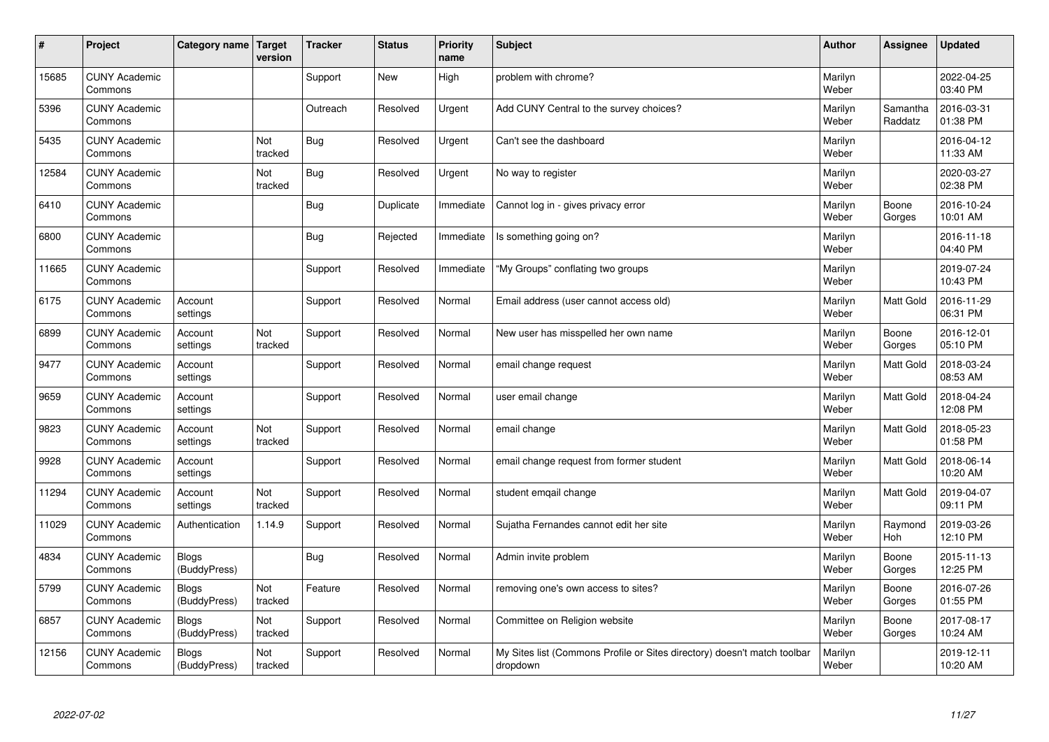| #     | Project                         | Category name   Target       | version        | <b>Tracker</b> | <b>Status</b> | <b>Priority</b><br>name | <b>Subject</b>                                                                       | <b>Author</b>    | Assignee            | <b>Updated</b>         |
|-------|---------------------------------|------------------------------|----------------|----------------|---------------|-------------------------|--------------------------------------------------------------------------------------|------------------|---------------------|------------------------|
| 15685 | <b>CUNY Academic</b><br>Commons |                              |                | Support        | <b>New</b>    | High                    | problem with chrome?                                                                 | Marilyn<br>Weber |                     | 2022-04-25<br>03:40 PM |
| 5396  | <b>CUNY Academic</b><br>Commons |                              |                | Outreach       | Resolved      | Urgent                  | Add CUNY Central to the survey choices?                                              | Marilyn<br>Weber | Samantha<br>Raddatz | 2016-03-31<br>01:38 PM |
| 5435  | <b>CUNY Academic</b><br>Commons |                              | Not<br>tracked | <b>Bug</b>     | Resolved      | Urgent                  | Can't see the dashboard                                                              | Marilyn<br>Weber |                     | 2016-04-12<br>11:33 AM |
| 12584 | <b>CUNY Academic</b><br>Commons |                              | Not<br>tracked | Bug            | Resolved      | Urgent                  | No way to register                                                                   | Marilyn<br>Weber |                     | 2020-03-27<br>02:38 PM |
| 6410  | <b>CUNY Academic</b><br>Commons |                              |                | Bug            | Duplicate     | Immediate               | Cannot log in - gives privacy error                                                  | Marilyn<br>Weber | Boone<br>Gorges     | 2016-10-24<br>10:01 AM |
| 6800  | <b>CUNY Academic</b><br>Commons |                              |                | <b>Bug</b>     | Rejected      | Immediate               | Is something going on?                                                               | Marilyn<br>Weber |                     | 2016-11-18<br>04:40 PM |
| 11665 | <b>CUNY Academic</b><br>Commons |                              |                | Support        | Resolved      | Immediate               | "My Groups" conflating two groups                                                    | Marilyn<br>Weber |                     | 2019-07-24<br>10:43 PM |
| 6175  | <b>CUNY Academic</b><br>Commons | Account<br>settings          |                | Support        | Resolved      | Normal                  | Email address (user cannot access old)                                               | Marilyn<br>Weber | Matt Gold           | 2016-11-29<br>06:31 PM |
| 6899  | <b>CUNY Academic</b><br>Commons | Account<br>settings          | Not<br>tracked | Support        | Resolved      | Normal                  | New user has misspelled her own name                                                 | Marilyn<br>Weber | Boone<br>Gorges     | 2016-12-01<br>05:10 PM |
| 9477  | <b>CUNY Academic</b><br>Commons | Account<br>settings          |                | Support        | Resolved      | Normal                  | email change request                                                                 | Marilyn<br>Weber | Matt Gold           | 2018-03-24<br>08:53 AM |
| 9659  | <b>CUNY Academic</b><br>Commons | Account<br>settings          |                | Support        | Resolved      | Normal                  | user email change                                                                    | Marilyn<br>Weber | <b>Matt Gold</b>    | 2018-04-24<br>12:08 PM |
| 9823  | <b>CUNY Academic</b><br>Commons | Account<br>settings          | Not<br>tracked | Support        | Resolved      | Normal                  | email change                                                                         | Marilyn<br>Weber | <b>Matt Gold</b>    | 2018-05-23<br>01:58 PM |
| 9928  | <b>CUNY Academic</b><br>Commons | Account<br>settings          |                | Support        | Resolved      | Normal                  | email change request from former student                                             | Marilyn<br>Weber | <b>Matt Gold</b>    | 2018-06-14<br>10:20 AM |
| 11294 | <b>CUNY Academic</b><br>Commons | Account<br>settings          | Not<br>tracked | Support        | Resolved      | Normal                  | student emgail change                                                                | Marilyn<br>Weber | <b>Matt Gold</b>    | 2019-04-07<br>09:11 PM |
| 11029 | <b>CUNY Academic</b><br>Commons | Authentication               | 1.14.9         | Support        | Resolved      | Normal                  | Sujatha Fernandes cannot edit her site                                               | Marilyn<br>Weber | Raymond<br>Hoh      | 2019-03-26<br>12:10 PM |
| 4834  | <b>CUNY Academic</b><br>Commons | <b>Blogs</b><br>(BuddyPress) |                | <b>Bug</b>     | Resolved      | Normal                  | Admin invite problem                                                                 | Marilyn<br>Weber | Boone<br>Gorges     | 2015-11-13<br>12:25 PM |
| 5799  | <b>CUNY Academic</b><br>Commons | <b>Blogs</b><br>(BuddyPress) | Not<br>tracked | Feature        | Resolved      | Normal                  | removing one's own access to sites?                                                  | Marilyn<br>Weber | Boone<br>Gorges     | 2016-07-26<br>01:55 PM |
| 6857  | <b>CUNY Academic</b><br>Commons | <b>Blogs</b><br>(BuddyPress) | Not<br>tracked | Support        | Resolved      | Normal                  | Committee on Religion website                                                        | Marilyn<br>Weber | Boone<br>Gorges     | 2017-08-17<br>10:24 AM |
| 12156 | <b>CUNY Academic</b><br>Commons | <b>Blogs</b><br>(BuddyPress) | Not<br>tracked | Support        | Resolved      | Normal                  | My Sites list (Commons Profile or Sites directory) doesn't match toolbar<br>dropdown | Marilyn<br>Weber |                     | 2019-12-11<br>10:20 AM |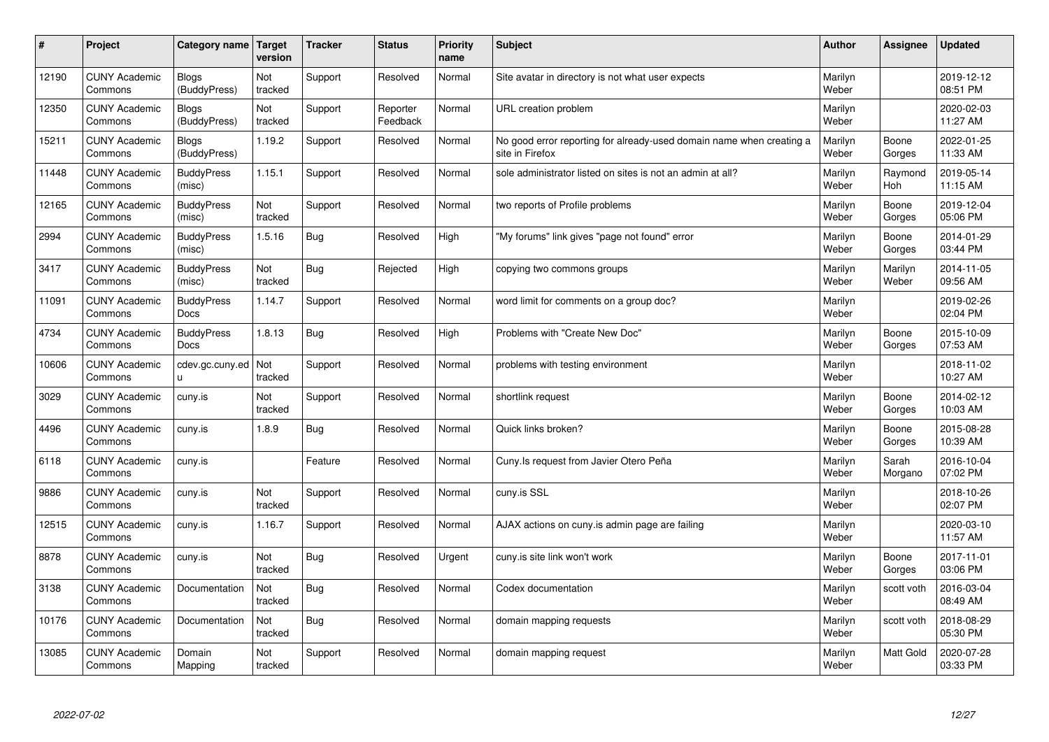| $\pmb{\#}$ | Project                         | Category name                    | <b>Target</b><br>version | <b>Tracker</b> | <b>Status</b>        | <b>Priority</b><br>name | <b>Subject</b>                                                                          | <b>Author</b>    | Assignee         | <b>Updated</b>         |
|------------|---------------------------------|----------------------------------|--------------------------|----------------|----------------------|-------------------------|-----------------------------------------------------------------------------------------|------------------|------------------|------------------------|
| 12190      | <b>CUNY Academic</b><br>Commons | <b>Blogs</b><br>(BuddyPress)     | Not<br>tracked           | Support        | Resolved             | Normal                  | Site avatar in directory is not what user expects                                       | Marilyn<br>Weber |                  | 2019-12-12<br>08:51 PM |
| 12350      | <b>CUNY Academic</b><br>Commons | <b>Blogs</b><br>(BuddyPress)     | Not<br>tracked           | Support        | Reporter<br>Feedback | Normal                  | URL creation problem                                                                    | Marilyn<br>Weber |                  | 2020-02-03<br>11:27 AM |
| 15211      | <b>CUNY Academic</b><br>Commons | <b>Blogs</b><br>(BuddyPress)     | 1.19.2                   | Support        | Resolved             | Normal                  | No good error reporting for already-used domain name when creating a<br>site in Firefox | Marilyn<br>Weber | Boone<br>Gorges  | 2022-01-25<br>11:33 AM |
| 11448      | <b>CUNY Academic</b><br>Commons | <b>BuddyPress</b><br>(misc)      | 1.15.1                   | Support        | Resolved             | Normal                  | sole administrator listed on sites is not an admin at all?                              | Marilyn<br>Weber | Raymond<br>Hoh   | 2019-05-14<br>11:15 AM |
| 12165      | <b>CUNY Academic</b><br>Commons | <b>BuddyPress</b><br>(misc)      | Not<br>tracked           | Support        | Resolved             | Normal                  | two reports of Profile problems                                                         | Marilyn<br>Weber | Boone<br>Gorges  | 2019-12-04<br>05:06 PM |
| 2994       | <b>CUNY Academic</b><br>Commons | <b>BuddyPress</b><br>(misc)      | 1.5.16                   | Bug            | Resolved             | High                    | "My forums" link gives "page not found" error                                           | Marilyn<br>Weber | Boone<br>Gorges  | 2014-01-29<br>03:44 PM |
| 3417       | <b>CUNY Academic</b><br>Commons | <b>BuddyPress</b><br>(misc)      | Not<br>tracked           | Bug            | Rejected             | High                    | copying two commons groups                                                              | Marilyn<br>Weber | Marilyn<br>Weber | 2014-11-05<br>09:56 AM |
| 11091      | <b>CUNY Academic</b><br>Commons | <b>BuddyPress</b><br><b>Docs</b> | 1.14.7                   | Support        | Resolved             | Normal                  | word limit for comments on a group doc?                                                 | Marilyn<br>Weber |                  | 2019-02-26<br>02:04 PM |
| 4734       | <b>CUNY Academic</b><br>Commons | <b>BuddyPress</b><br>Docs        | 1.8.13                   | <b>Bug</b>     | Resolved             | High                    | Problems with "Create New Doc"                                                          | Marilyn<br>Weber | Boone<br>Gorges  | 2015-10-09<br>07:53 AM |
| 10606      | <b>CUNY Academic</b><br>Commons | cdev.gc.cuny.ed<br>u             | Not<br>tracked           | Support        | Resolved             | Normal                  | problems with testing environment                                                       | Marilyn<br>Weber |                  | 2018-11-02<br>10:27 AM |
| 3029       | <b>CUNY Academic</b><br>Commons | cuny.is                          | Not<br>tracked           | Support        | Resolved             | Normal                  | shortlink request                                                                       | Marilyn<br>Weber | Boone<br>Gorges  | 2014-02-12<br>10:03 AM |
| 4496       | <b>CUNY Academic</b><br>Commons | cuny.is                          | 1.8.9                    | <b>Bug</b>     | Resolved             | Normal                  | Quick links broken?                                                                     | Marilyn<br>Weber | Boone<br>Gorges  | 2015-08-28<br>10:39 AM |
| 6118       | <b>CUNY Academic</b><br>Commons | cuny.is                          |                          | Feature        | Resolved             | Normal                  | Cuny. Is request from Javier Otero Peña                                                 | Marilyn<br>Weber | Sarah<br>Morgano | 2016-10-04<br>07:02 PM |
| 9886       | <b>CUNY Academic</b><br>Commons | cuny.is                          | Not<br>tracked           | Support        | Resolved             | Normal                  | cuny.is SSL                                                                             | Marilyn<br>Weber |                  | 2018-10-26<br>02:07 PM |
| 12515      | <b>CUNY Academic</b><br>Commons | cuny.is                          | 1.16.7                   | Support        | Resolved             | Normal                  | AJAX actions on cuny.is admin page are failing                                          | Marilyn<br>Weber |                  | 2020-03-10<br>11:57 AM |
| 8878       | <b>CUNY Academic</b><br>Commons | cuny.is                          | Not<br>tracked           | <b>Bug</b>     | Resolved             | Urgent                  | cuny is site link won't work                                                            | Marilyn<br>Weber | Boone<br>Gorges  | 2017-11-01<br>03:06 PM |
| 3138       | <b>CUNY Academic</b><br>Commons | Documentation                    | Not<br>tracked           | Bug            | Resolved             | Normal                  | Codex documentation                                                                     | Marilyn<br>Weber | scott voth       | 2016-03-04<br>08:49 AM |
| 10176      | <b>CUNY Academic</b><br>Commons | Documentation                    | Not<br>tracked           | Bug            | Resolved             | Normal                  | domain mapping requests                                                                 | Marilyn<br>Weber | scott voth       | 2018-08-29<br>05:30 PM |
| 13085      | <b>CUNY Academic</b><br>Commons | Domain<br>Mapping                | Not<br>tracked           | Support        | Resolved             | Normal                  | domain mapping request                                                                  | Marilyn<br>Weber | Matt Gold        | 2020-07-28<br>03:33 PM |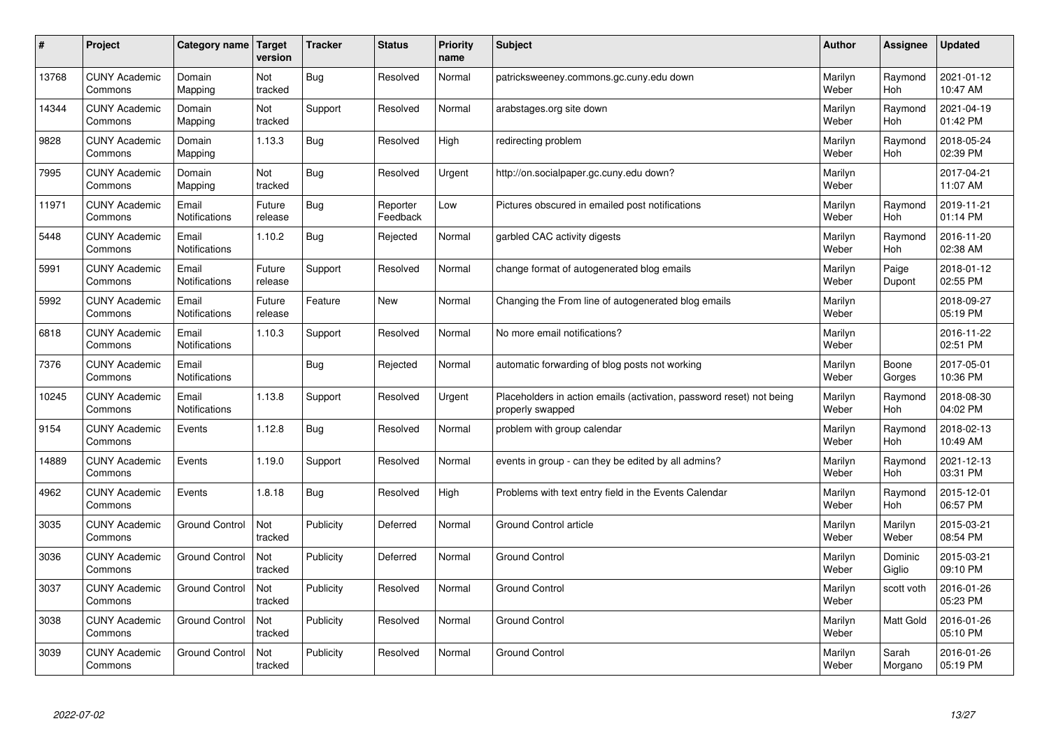| $\pmb{\sharp}$ | Project                         | Category name                 | Target<br>version     | <b>Tracker</b> | <b>Status</b>        | <b>Priority</b><br>name | <b>Subject</b>                                                                           | <b>Author</b>    | Assignee              | <b>Updated</b>         |
|----------------|---------------------------------|-------------------------------|-----------------------|----------------|----------------------|-------------------------|------------------------------------------------------------------------------------------|------------------|-----------------------|------------------------|
| 13768          | <b>CUNY Academic</b><br>Commons | Domain<br>Mapping             | Not<br>tracked        | <b>Bug</b>     | Resolved             | Normal                  | patricksweeney.commons.gc.cuny.edu down                                                  | Marilyn<br>Weber | Raymond<br><b>Hoh</b> | 2021-01-12<br>10:47 AM |
| 14344          | <b>CUNY Academic</b><br>Commons | Domain<br>Mapping             | Not<br>tracked        | Support        | Resolved             | Normal                  | arabstages.org site down                                                                 | Marilyn<br>Weber | Raymond<br>Hoh        | 2021-04-19<br>01:42 PM |
| 9828           | <b>CUNY Academic</b><br>Commons | Domain<br>Mapping             | 1.13.3                | Bug            | Resolved             | High                    | redirecting problem                                                                      | Marilyn<br>Weber | Raymond<br><b>Hoh</b> | 2018-05-24<br>02:39 PM |
| 7995           | <b>CUNY Academic</b><br>Commons | Domain<br>Mapping             | <b>Not</b><br>tracked | <b>Bug</b>     | Resolved             | Urgent                  | http://on.socialpaper.gc.cuny.edu down?                                                  | Marilyn<br>Weber |                       | 2017-04-21<br>11:07 AM |
| 11971          | <b>CUNY Academic</b><br>Commons | Email<br>Notifications        | Future<br>release     | Bug            | Reporter<br>Feedback | Low                     | Pictures obscured in emailed post notifications                                          | Marilyn<br>Weber | Raymond<br>Hoh        | 2019-11-21<br>01:14 PM |
| 5448           | <b>CUNY Academic</b><br>Commons | Email<br>Notifications        | 1.10.2                | Bug            | Rejected             | Normal                  | garbled CAC activity digests                                                             | Marilyn<br>Weber | Raymond<br><b>Hoh</b> | 2016-11-20<br>02:38 AM |
| 5991           | <b>CUNY Academic</b><br>Commons | Email<br>Notifications        | Future<br>release     | Support        | Resolved             | Normal                  | change format of autogenerated blog emails                                               | Marilyn<br>Weber | Paige<br>Dupont       | 2018-01-12<br>02:55 PM |
| 5992           | <b>CUNY Academic</b><br>Commons | Email<br>Notifications        | Future<br>release     | Feature        | <b>New</b>           | Normal                  | Changing the From line of autogenerated blog emails                                      | Marilyn<br>Weber |                       | 2018-09-27<br>05:19 PM |
| 6818           | <b>CUNY Academic</b><br>Commons | Email<br>Notifications        | 1.10.3                | Support        | Resolved             | Normal                  | No more email notifications?                                                             | Marilyn<br>Weber |                       | 2016-11-22<br>02:51 PM |
| 7376           | <b>CUNY Academic</b><br>Commons | Email<br><b>Notifications</b> |                       | Bug            | Rejected             | Normal                  | automatic forwarding of blog posts not working                                           | Marilyn<br>Weber | Boone<br>Gorges       | 2017-05-01<br>10:36 PM |
| 10245          | <b>CUNY Academic</b><br>Commons | Email<br><b>Notifications</b> | 1.13.8                | Support        | Resolved             | Urgent                  | Placeholders in action emails (activation, password reset) not being<br>properly swapped | Marilyn<br>Weber | Raymond<br>Hoh        | 2018-08-30<br>04:02 PM |
| 9154           | <b>CUNY Academic</b><br>Commons | Events                        | 1.12.8                | <b>Bug</b>     | Resolved             | Normal                  | problem with group calendar                                                              | Marilyn<br>Weber | Raymond<br>Hoh        | 2018-02-13<br>10:49 AM |
| 14889          | <b>CUNY Academic</b><br>Commons | Events                        | 1.19.0                | Support        | Resolved             | Normal                  | events in group - can they be edited by all admins?                                      | Marilyn<br>Weber | Raymond<br>Hoh        | 2021-12-13<br>03:31 PM |
| 4962           | <b>CUNY Academic</b><br>Commons | Events                        | 1.8.18                | <b>Bug</b>     | Resolved             | High                    | Problems with text entry field in the Events Calendar                                    | Marilyn<br>Weber | Raymond<br><b>Hoh</b> | 2015-12-01<br>06:57 PM |
| 3035           | <b>CUNY Academic</b><br>Commons | <b>Ground Control</b>         | Not<br>tracked        | Publicity      | Deferred             | Normal                  | Ground Control article                                                                   | Marilyn<br>Weber | Marilyn<br>Weber      | 2015-03-21<br>08:54 PM |
| 3036           | <b>CUNY Academic</b><br>Commons | <b>Ground Control</b>         | Not<br>tracked        | Publicity      | Deferred             | Normal                  | <b>Ground Control</b>                                                                    | Marilyn<br>Weber | Dominic<br>Giglio     | 2015-03-21<br>09:10 PM |
| 3037           | <b>CUNY Academic</b><br>Commons | <b>Ground Control</b>         | Not<br>tracked        | Publicity      | Resolved             | Normal                  | <b>Ground Control</b>                                                                    | Marilyn<br>Weber | scott voth            | 2016-01-26<br>05:23 PM |
| 3038           | <b>CUNY Academic</b><br>Commons | <b>Ground Control</b>         | Not<br>tracked        | Publicity      | Resolved             | Normal                  | Ground Control                                                                           | Marilyn<br>Weber | Matt Gold             | 2016-01-26<br>05:10 PM |
| 3039           | <b>CUNY Academic</b><br>Commons | <b>Ground Control</b>         | Not<br>tracked        | Publicity      | Resolved             | Normal                  | <b>Ground Control</b>                                                                    | Marilyn<br>Weber | Sarah<br>Morgano      | 2016-01-26<br>05:19 PM |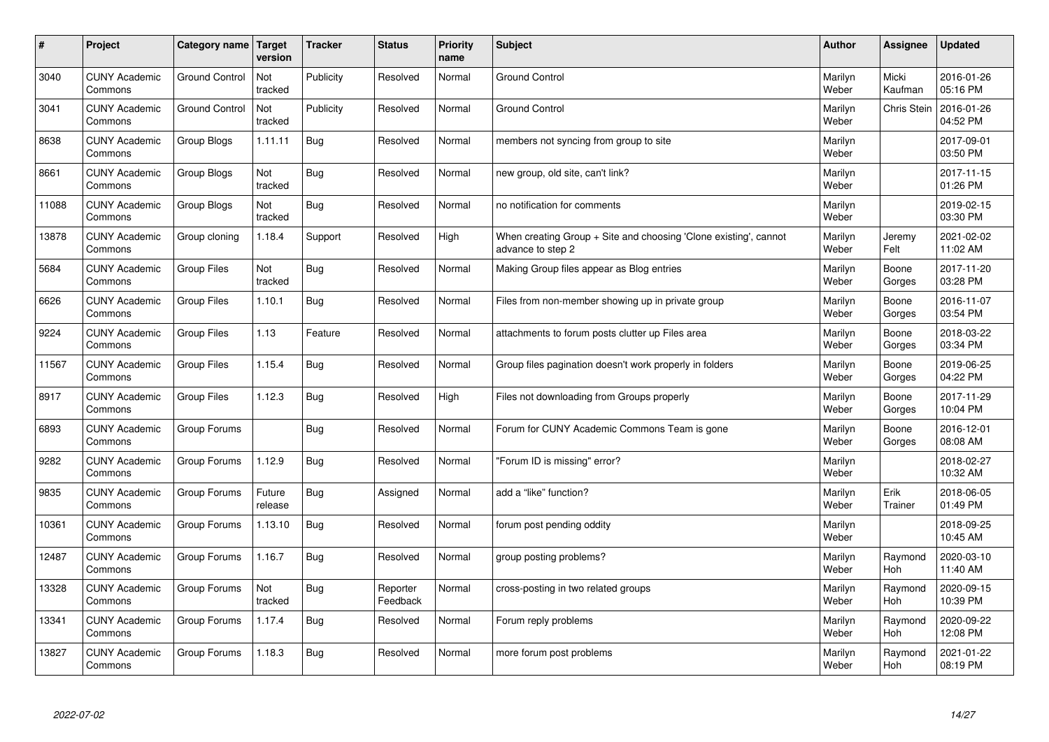| #     | Project                         | Category name   Target | version           | <b>Tracker</b> | <b>Status</b>        | <b>Priority</b><br>name | <b>Subject</b>                                                                        | <b>Author</b>    | <b>Assignee</b>    | <b>Updated</b>         |
|-------|---------------------------------|------------------------|-------------------|----------------|----------------------|-------------------------|---------------------------------------------------------------------------------------|------------------|--------------------|------------------------|
| 3040  | <b>CUNY Academic</b><br>Commons | <b>Ground Control</b>  | Not<br>tracked    | Publicity      | Resolved             | Normal                  | <b>Ground Control</b>                                                                 | Marilyn<br>Weber | Micki<br>Kaufman   | 2016-01-26<br>05:16 PM |
| 3041  | <b>CUNY Academic</b><br>Commons | <b>Ground Control</b>  | Not<br>tracked    | Publicity      | Resolved             | Normal                  | <b>Ground Control</b>                                                                 | Marilyn<br>Weber | <b>Chris Stein</b> | 2016-01-26<br>04:52 PM |
| 8638  | <b>CUNY Academic</b><br>Commons | Group Blogs            | 1.11.11           | Bug            | Resolved             | Normal                  | members not syncing from group to site                                                | Marilyn<br>Weber |                    | 2017-09-01<br>03:50 PM |
| 8661  | <b>CUNY Academic</b><br>Commons | Group Blogs            | Not<br>tracked    | Bug            | Resolved             | Normal                  | new group, old site, can't link?                                                      | Marilyn<br>Weber |                    | 2017-11-15<br>01:26 PM |
| 11088 | <b>CUNY Academic</b><br>Commons | Group Blogs            | Not<br>tracked    | Bug            | Resolved             | Normal                  | no notification for comments                                                          | Marilyn<br>Weber |                    | 2019-02-15<br>03:30 PM |
| 13878 | <b>CUNY Academic</b><br>Commons | Group cloning          | 1.18.4            | Support        | Resolved             | High                    | When creating Group + Site and choosing 'Clone existing', cannot<br>advance to step 2 | Marilyn<br>Weber | Jeremy<br>Felt     | 2021-02-02<br>11:02 AM |
| 5684  | <b>CUNY Academic</b><br>Commons | <b>Group Files</b>     | Not<br>tracked    | Bug            | Resolved             | Normal                  | Making Group files appear as Blog entries                                             | Marilyn<br>Weber | Boone<br>Gorges    | 2017-11-20<br>03:28 PM |
| 6626  | <b>CUNY Academic</b><br>Commons | Group Files            | 1.10.1            | Bug            | Resolved             | Normal                  | Files from non-member showing up in private group                                     | Marilyn<br>Weber | Boone<br>Gorges    | 2016-11-07<br>03:54 PM |
| 9224  | <b>CUNY Academic</b><br>Commons | <b>Group Files</b>     | 1.13              | Feature        | Resolved             | Normal                  | attachments to forum posts clutter up Files area                                      | Marilyn<br>Weber | Boone<br>Gorges    | 2018-03-22<br>03:34 PM |
| 11567 | <b>CUNY Academic</b><br>Commons | Group Files            | 1.15.4            | Bug            | Resolved             | Normal                  | Group files pagination doesn't work properly in folders                               | Marilyn<br>Weber | Boone<br>Gorges    | 2019-06-25<br>04:22 PM |
| 8917  | <b>CUNY Academic</b><br>Commons | <b>Group Files</b>     | 1.12.3            | Bug            | Resolved             | High                    | Files not downloading from Groups properly                                            | Marilyn<br>Weber | Boone<br>Gorges    | 2017-11-29<br>10:04 PM |
| 6893  | <b>CUNY Academic</b><br>Commons | Group Forums           |                   | <b>Bug</b>     | Resolved             | Normal                  | Forum for CUNY Academic Commons Team is gone                                          | Marilyn<br>Weber | Boone<br>Gorges    | 2016-12-01<br>08:08 AM |
| 9282  | <b>CUNY Academic</b><br>Commons | Group Forums           | 1.12.9            | Bug            | Resolved             | Normal                  | 'Forum ID is missing" error?                                                          | Marilyn<br>Weber |                    | 2018-02-27<br>10:32 AM |
| 9835  | <b>CUNY Academic</b><br>Commons | Group Forums           | Future<br>release | Bug            | Assigned             | Normal                  | add a "like" function?                                                                | Marilyn<br>Weber | Erik<br>Trainer    | 2018-06-05<br>01:49 PM |
| 10361 | <b>CUNY Academic</b><br>Commons | Group Forums           | 1.13.10           | Bug            | Resolved             | Normal                  | forum post pending oddity                                                             | Marilyn<br>Weber |                    | 2018-09-25<br>10:45 AM |
| 12487 | <b>CUNY Academic</b><br>Commons | Group Forums           | 1.16.7            | Bug            | Resolved             | Normal                  | group posting problems?                                                               | Marilyn<br>Weber | Raymond<br>Hoh     | 2020-03-10<br>11:40 AM |
| 13328 | <b>CUNY Academic</b><br>Commons | Group Forums           | Not<br>tracked    | Bug            | Reporter<br>Feedback | Normal                  | cross-posting in two related groups                                                   | Marilyn<br>Weber | Raymond<br>Hoh     | 2020-09-15<br>10:39 PM |
| 13341 | <b>CUNY Academic</b><br>Commons | Group Forums           | 1.17.4            | Bug            | Resolved             | Normal                  | Forum reply problems                                                                  | Marilyn<br>Weber | Raymond<br>Hoh     | 2020-09-22<br>12:08 PM |
| 13827 | <b>CUNY Academic</b><br>Commons | Group Forums           | 1.18.3            | Bug            | Resolved             | Normal                  | more forum post problems                                                              | Marilyn<br>Weber | Raymond<br>Hoh     | 2021-01-22<br>08:19 PM |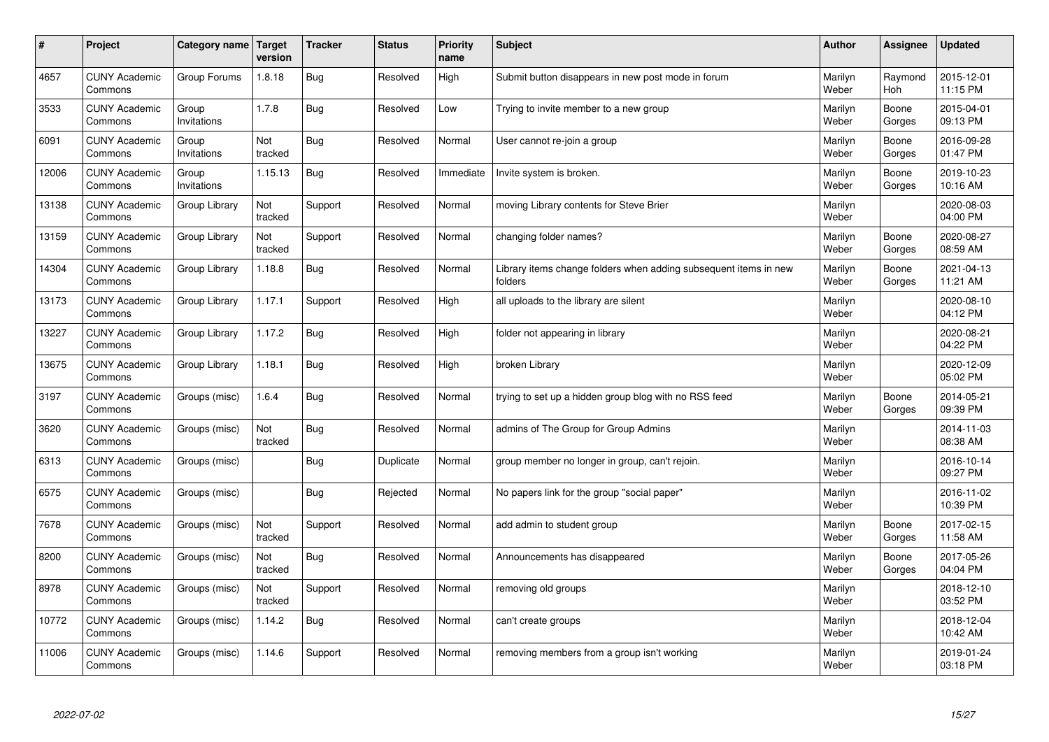| #     | Project                         | Category name   Target | version        | <b>Tracker</b> | <b>Status</b> | <b>Priority</b><br>name | <b>Subject</b>                                                              | <b>Author</b>    | <b>Assignee</b>       | <b>Updated</b>         |
|-------|---------------------------------|------------------------|----------------|----------------|---------------|-------------------------|-----------------------------------------------------------------------------|------------------|-----------------------|------------------------|
| 4657  | <b>CUNY Academic</b><br>Commons | Group Forums           | 1.8.18         | Bug            | Resolved      | High                    | Submit button disappears in new post mode in forum                          | Marilyn<br>Weber | Raymond<br><b>Hoh</b> | 2015-12-01<br>11:15 PM |
| 3533  | <b>CUNY Academic</b><br>Commons | Group<br>Invitations   | 1.7.8          | Bug            | Resolved      | Low                     | Trying to invite member to a new group                                      | Marilyn<br>Weber | Boone<br>Gorges       | 2015-04-01<br>09:13 PM |
| 6091  | <b>CUNY Academic</b><br>Commons | Group<br>Invitations   | Not<br>tracked | Bug            | Resolved      | Normal                  | User cannot re-join a group                                                 | Marilyn<br>Weber | Boone<br>Gorges       | 2016-09-28<br>01:47 PM |
| 12006 | <b>CUNY Academic</b><br>Commons | Group<br>Invitations   | 1.15.13        | Bug            | Resolved      | Immediate               | Invite system is broken.                                                    | Marilyn<br>Weber | Boone<br>Gorges       | 2019-10-23<br>10:16 AM |
| 13138 | <b>CUNY Academic</b><br>Commons | Group Library          | Not<br>tracked | Support        | Resolved      | Normal                  | moving Library contents for Steve Brier                                     | Marilyn<br>Weber |                       | 2020-08-03<br>04:00 PM |
| 13159 | <b>CUNY Academic</b><br>Commons | Group Library          | Not<br>tracked | Support        | Resolved      | Normal                  | changing folder names?                                                      | Marilyn<br>Weber | Boone<br>Gorges       | 2020-08-27<br>08:59 AM |
| 14304 | <b>CUNY Academic</b><br>Commons | Group Library          | 1.18.8         | Bug            | Resolved      | Normal                  | Library items change folders when adding subsequent items in new<br>folders | Marilyn<br>Weber | Boone<br>Gorges       | 2021-04-13<br>11:21 AM |
| 13173 | <b>CUNY Academic</b><br>Commons | Group Library          | 1.17.1         | Support        | Resolved      | High                    | all uploads to the library are silent                                       | Marilyn<br>Weber |                       | 2020-08-10<br>04:12 PM |
| 13227 | <b>CUNY Academic</b><br>Commons | Group Library          | 1.17.2         | <b>Bug</b>     | Resolved      | High                    | folder not appearing in library                                             | Marilyn<br>Weber |                       | 2020-08-21<br>04:22 PM |
| 13675 | <b>CUNY Academic</b><br>Commons | Group Library          | 1.18.1         | <b>Bug</b>     | Resolved      | High                    | broken Library                                                              | Marilyn<br>Weber |                       | 2020-12-09<br>05:02 PM |
| 3197  | <b>CUNY Academic</b><br>Commons | Groups (misc)          | 1.6.4          | Bug            | Resolved      | Normal                  | trying to set up a hidden group blog with no RSS feed                       | Marilyn<br>Weber | Boone<br>Gorges       | 2014-05-21<br>09:39 PM |
| 3620  | <b>CUNY Academic</b><br>Commons | Groups (misc)          | Not<br>tracked | <b>Bug</b>     | Resolved      | Normal                  | admins of The Group for Group Admins                                        | Marilyn<br>Weber |                       | 2014-11-03<br>08:38 AM |
| 6313  | <b>CUNY Academic</b><br>Commons | Groups (misc)          |                | Bug            | Duplicate     | Normal                  | group member no longer in group, can't rejoin.                              | Marilyn<br>Weber |                       | 2016-10-14<br>09:27 PM |
| 6575  | <b>CUNY Academic</b><br>Commons | Groups (misc)          |                | Bug            | Rejected      | Normal                  | No papers link for the group "social paper"                                 | Marilyn<br>Weber |                       | 2016-11-02<br>10:39 PM |
| 7678  | <b>CUNY Academic</b><br>Commons | Groups (misc)          | Not<br>tracked | Support        | Resolved      | Normal                  | add admin to student group                                                  | Marilyn<br>Weber | Boone<br>Gorges       | 2017-02-15<br>11:58 AM |
| 8200  | <b>CUNY Academic</b><br>Commons | Groups (misc)          | Not<br>tracked | Bug            | Resolved      | Normal                  | Announcements has disappeared                                               | Marilyn<br>Weber | Boone<br>Gorges       | 2017-05-26<br>04:04 PM |
| 8978  | <b>CUNY Academic</b><br>Commons | Groups (misc)          | Not<br>tracked | Support        | Resolved      | Normal                  | removing old groups                                                         | Marilyn<br>Weber |                       | 2018-12-10<br>03:52 PM |
| 10772 | <b>CUNY Academic</b><br>Commons | Groups (misc)          | 1.14.2         | <b>Bug</b>     | Resolved      | Normal                  | can't create groups                                                         | Marilyn<br>Weber |                       | 2018-12-04<br>10:42 AM |
| 11006 | <b>CUNY Academic</b><br>Commons | Groups (misc)          | 1.14.6         | Support        | Resolved      | Normal                  | removing members from a group isn't working                                 | Marilyn<br>Weber |                       | 2019-01-24<br>03:18 PM |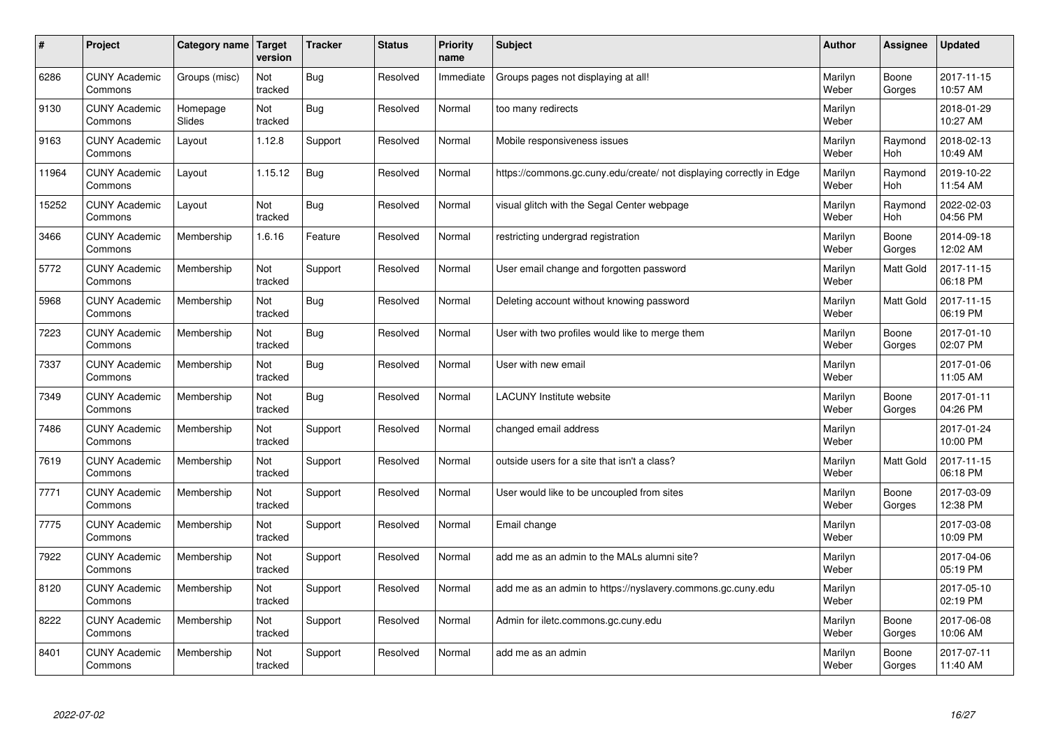| $\vert$ # | Project                         | Category name      | <b>Target</b><br>version | <b>Tracker</b> | <b>Status</b> | <b>Priority</b><br>name | <b>Subject</b>                                                       | <b>Author</b>    | <b>Assignee</b>       | <b>Updated</b>         |
|-----------|---------------------------------|--------------------|--------------------------|----------------|---------------|-------------------------|----------------------------------------------------------------------|------------------|-----------------------|------------------------|
| 6286      | <b>CUNY Academic</b><br>Commons | Groups (misc)      | Not<br>tracked           | Bug            | Resolved      | Immediate               | Groups pages not displaying at all!                                  | Marilyn<br>Weber | Boone<br>Gorges       | 2017-11-15<br>10:57 AM |
| 9130      | <b>CUNY Academic</b><br>Commons | Homepage<br>Slides | Not<br>tracked           | Bug            | Resolved      | Normal                  | too many redirects                                                   | Marilyn<br>Weber |                       | 2018-01-29<br>10:27 AM |
| 9163      | <b>CUNY Academic</b><br>Commons | Layout             | 1.12.8                   | Support        | Resolved      | Normal                  | Mobile responsiveness issues                                         | Marilyn<br>Weber | Raymond<br>Hoh        | 2018-02-13<br>10:49 AM |
| 11964     | <b>CUNY Academic</b><br>Commons | Layout             | 1.15.12                  | <b>Bug</b>     | Resolved      | Normal                  | https://commons.gc.cuny.edu/create/ not displaying correctly in Edge | Marilyn<br>Weber | Raymond<br><b>Hoh</b> | 2019-10-22<br>11:54 AM |
| 15252     | <b>CUNY Academic</b><br>Commons | Layout             | Not<br>tracked           | <b>Bug</b>     | Resolved      | Normal                  | visual glitch with the Segal Center webpage                          | Marilyn<br>Weber | Raymond<br>Hoh        | 2022-02-03<br>04:56 PM |
| 3466      | <b>CUNY Academic</b><br>Commons | Membership         | 1.6.16                   | Feature        | Resolved      | Normal                  | restricting undergrad registration                                   | Marilyn<br>Weber | Boone<br>Gorges       | 2014-09-18<br>12:02 AM |
| 5772      | <b>CUNY Academic</b><br>Commons | Membership         | Not<br>tracked           | Support        | Resolved      | Normal                  | User email change and forgotten password                             | Marilyn<br>Weber | Matt Gold             | 2017-11-15<br>06:18 PM |
| 5968      | <b>CUNY Academic</b><br>Commons | Membership         | Not<br>tracked           | Bug            | Resolved      | Normal                  | Deleting account without knowing password                            | Marilyn<br>Weber | Matt Gold             | 2017-11-15<br>06:19 PM |
| 7223      | <b>CUNY Academic</b><br>Commons | Membership         | Not<br>tracked           | Bug            | Resolved      | Normal                  | User with two profiles would like to merge them                      | Marilyn<br>Weber | Boone<br>Gorges       | 2017-01-10<br>02:07 PM |
| 7337      | <b>CUNY Academic</b><br>Commons | Membership         | Not<br>tracked           | <b>Bug</b>     | Resolved      | Normal                  | User with new email                                                  | Marilyn<br>Weber |                       | 2017-01-06<br>11:05 AM |
| 7349      | <b>CUNY Academic</b><br>Commons | Membership         | Not<br>tracked           | Bug            | Resolved      | Normal                  | <b>LACUNY</b> Institute website                                      | Marilyn<br>Weber | Boone<br>Gorges       | 2017-01-11<br>04:26 PM |
| 7486      | <b>CUNY Academic</b><br>Commons | Membership         | Not<br>tracked           | Support        | Resolved      | Normal                  | changed email address                                                | Marilyn<br>Weber |                       | 2017-01-24<br>10:00 PM |
| 7619      | <b>CUNY Academic</b><br>Commons | Membership         | Not<br>tracked           | Support        | Resolved      | Normal                  | outside users for a site that isn't a class?                         | Marilyn<br>Weber | Matt Gold             | 2017-11-15<br>06:18 PM |
| 7771      | <b>CUNY Academic</b><br>Commons | Membership         | Not<br>tracked           | Support        | Resolved      | Normal                  | User would like to be uncoupled from sites                           | Marilyn<br>Weber | Boone<br>Gorges       | 2017-03-09<br>12:38 PM |
| 7775      | <b>CUNY Academic</b><br>Commons | Membership         | Not<br>tracked           | Support        | Resolved      | Normal                  | Email change                                                         | Marilyn<br>Weber |                       | 2017-03-08<br>10:09 PM |
| 7922      | <b>CUNY Academic</b><br>Commons | Membership         | Not<br>tracked           | Support        | Resolved      | Normal                  | add me as an admin to the MALs alumni site?                          | Marilyn<br>Weber |                       | 2017-04-06<br>05:19 PM |
| 8120      | <b>CUNY Academic</b><br>Commons | Membership         | Not<br>tracked           | Support        | Resolved      | Normal                  | add me as an admin to https://nyslavery.commons.gc.cuny.edu          | Marilyn<br>Weber |                       | 2017-05-10<br>02:19 PM |
| 8222      | <b>CUNY Academic</b><br>Commons | Membership         | Not<br>tracked           | Support        | Resolved      | Normal                  | Admin for iletc.commons.gc.cuny.edu                                  | Marilyn<br>Weber | Boone<br>Gorges       | 2017-06-08<br>10:06 AM |
| 8401      | <b>CUNY Academic</b><br>Commons | Membership         | Not<br>tracked           | Support        | Resolved      | Normal                  | add me as an admin                                                   | Marilyn<br>Weber | Boone<br>Gorges       | 2017-07-11<br>11:40 AM |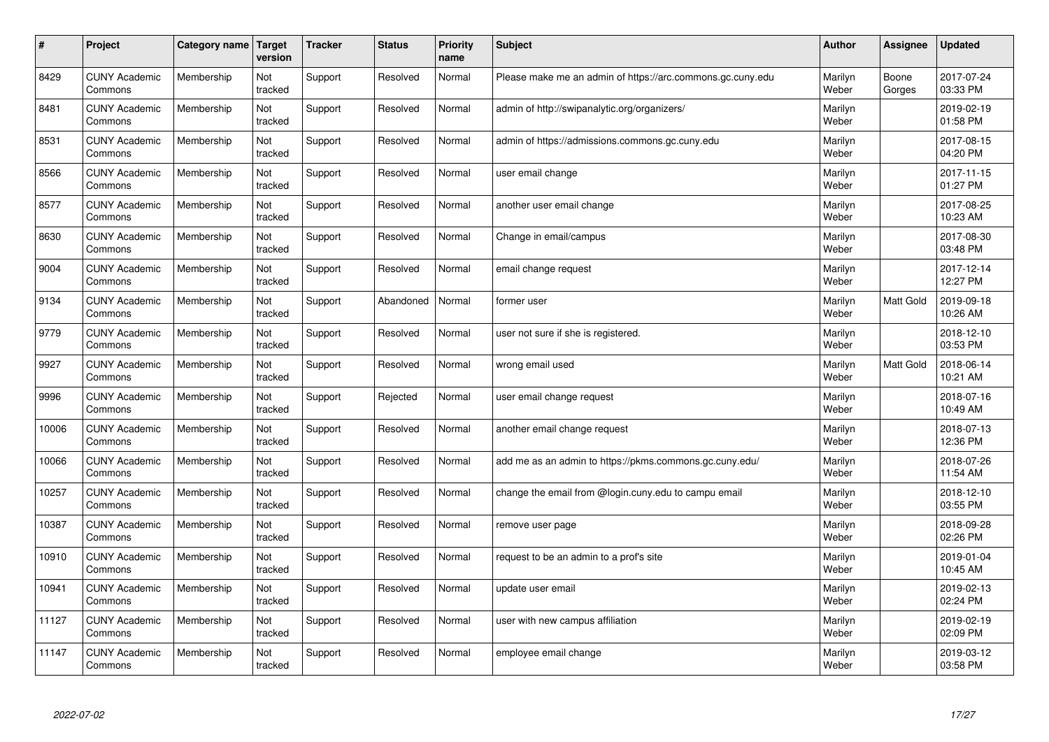| #     | Project                         | Category name   Target | version        | <b>Tracker</b> | <b>Status</b> | <b>Priority</b><br>name | <b>Subject</b>                                             | <b>Author</b>    | <b>Assignee</b>  | <b>Updated</b>         |
|-------|---------------------------------|------------------------|----------------|----------------|---------------|-------------------------|------------------------------------------------------------|------------------|------------------|------------------------|
| 8429  | <b>CUNY Academic</b><br>Commons | Membership             | Not<br>tracked | Support        | Resolved      | Normal                  | Please make me an admin of https://arc.commons.gc.cuny.edu | Marilyn<br>Weber | Boone<br>Gorges  | 2017-07-24<br>03:33 PM |
| 8481  | <b>CUNY Academic</b><br>Commons | Membership             | Not<br>tracked | Support        | Resolved      | Normal                  | admin of http://swipanalytic.org/organizers/               | Marilyn<br>Weber |                  | 2019-02-19<br>01:58 PM |
| 8531  | <b>CUNY Academic</b><br>Commons | Membership             | Not<br>tracked | Support        | Resolved      | Normal                  | admin of https://admissions.commons.gc.cuny.edu            | Marilyn<br>Weber |                  | 2017-08-15<br>04:20 PM |
| 8566  | <b>CUNY Academic</b><br>Commons | Membership             | Not<br>tracked | Support        | Resolved      | Normal                  | user email change                                          | Marilyn<br>Weber |                  | 2017-11-15<br>01:27 PM |
| 8577  | <b>CUNY Academic</b><br>Commons | Membership             | Not<br>tracked | Support        | Resolved      | Normal                  | another user email change                                  | Marilyn<br>Weber |                  | 2017-08-25<br>10:23 AM |
| 8630  | <b>CUNY Academic</b><br>Commons | Membership             | Not<br>tracked | Support        | Resolved      | Normal                  | Change in email/campus                                     | Marilyn<br>Weber |                  | 2017-08-30<br>03:48 PM |
| 9004  | <b>CUNY Academic</b><br>Commons | Membership             | Not<br>tracked | Support        | Resolved      | Normal                  | email change request                                       | Marilyn<br>Weber |                  | 2017-12-14<br>12:27 PM |
| 9134  | <b>CUNY Academic</b><br>Commons | Membership             | Not<br>tracked | Support        | Abandoned     | Normal                  | former user                                                | Marilyn<br>Weber | <b>Matt Gold</b> | 2019-09-18<br>10:26 AM |
| 9779  | <b>CUNY Academic</b><br>Commons | Membership             | Not<br>tracked | Support        | Resolved      | Normal                  | user not sure if she is registered.                        | Marilyn<br>Weber |                  | 2018-12-10<br>03:53 PM |
| 9927  | <b>CUNY Academic</b><br>Commons | Membership             | Not<br>tracked | Support        | Resolved      | Normal                  | wrong email used                                           | Marilyn<br>Weber | Matt Gold        | 2018-06-14<br>10:21 AM |
| 9996  | <b>CUNY Academic</b><br>Commons | Membership             | Not<br>tracked | Support        | Rejected      | Normal                  | user email change request                                  | Marilyn<br>Weber |                  | 2018-07-16<br>10:49 AM |
| 10006 | <b>CUNY Academic</b><br>Commons | Membership             | Not<br>tracked | Support        | Resolved      | Normal                  | another email change request                               | Marilyn<br>Weber |                  | 2018-07-13<br>12:36 PM |
| 10066 | <b>CUNY Academic</b><br>Commons | Membership             | Not<br>tracked | Support        | Resolved      | Normal                  | add me as an admin to https://pkms.commons.gc.cuny.edu/    | Marilyn<br>Weber |                  | 2018-07-26<br>11:54 AM |
| 10257 | <b>CUNY Academic</b><br>Commons | Membership             | Not<br>tracked | Support        | Resolved      | Normal                  | change the email from @login.cuny.edu to campu email       | Marilyn<br>Weber |                  | 2018-12-10<br>03:55 PM |
| 10387 | <b>CUNY Academic</b><br>Commons | Membership             | Not<br>tracked | Support        | Resolved      | Normal                  | remove user page                                           | Marilyn<br>Weber |                  | 2018-09-28<br>02:26 PM |
| 10910 | <b>CUNY Academic</b><br>Commons | Membership             | Not<br>tracked | Support        | Resolved      | Normal                  | request to be an admin to a prof's site                    | Marilyn<br>Weber |                  | 2019-01-04<br>10:45 AM |
| 10941 | <b>CUNY Academic</b><br>Commons | Membership             | Not<br>tracked | Support        | Resolved      | Normal                  | update user email                                          | Marilyn<br>Weber |                  | 2019-02-13<br>02:24 PM |
| 11127 | <b>CUNY Academic</b><br>Commons | Membership             | Not<br>tracked | Support        | Resolved      | Normal                  | user with new campus affiliation                           | Marilyn<br>Weber |                  | 2019-02-19<br>02:09 PM |
| 11147 | <b>CUNY Academic</b><br>Commons | Membership             | Not<br>tracked | Support        | Resolved      | Normal                  | employee email change                                      | Marilyn<br>Weber |                  | 2019-03-12<br>03:58 PM |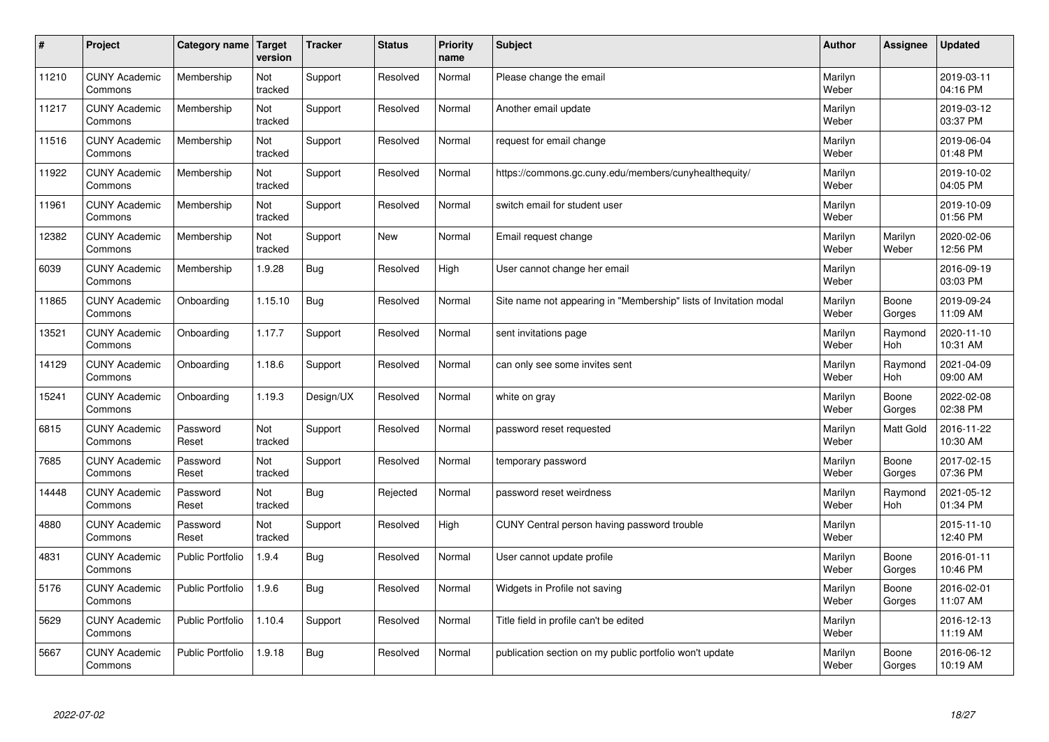| $\sharp$ | Project                         | Category name   Target  | version        | <b>Tracker</b> | <b>Status</b> | <b>Priority</b><br>name | <b>Subject</b>                                                    | <b>Author</b>    | Assignee              | <b>Updated</b>         |
|----------|---------------------------------|-------------------------|----------------|----------------|---------------|-------------------------|-------------------------------------------------------------------|------------------|-----------------------|------------------------|
| 11210    | <b>CUNY Academic</b><br>Commons | Membership              | Not<br>tracked | Support        | Resolved      | Normal                  | Please change the email                                           | Marilyn<br>Weber |                       | 2019-03-11<br>04:16 PM |
| 11217    | <b>CUNY Academic</b><br>Commons | Membership              | Not<br>tracked | Support        | Resolved      | Normal                  | Another email update                                              | Marilyn<br>Weber |                       | 2019-03-12<br>03:37 PM |
| 11516    | <b>CUNY Academic</b><br>Commons | Membership              | Not<br>tracked | Support        | Resolved      | Normal                  | request for email change                                          | Marilyn<br>Weber |                       | 2019-06-04<br>01:48 PM |
| 11922    | <b>CUNY Academic</b><br>Commons | Membership              | Not<br>tracked | Support        | Resolved      | Normal                  | https://commons.gc.cuny.edu/members/cunyhealthequity/             | Marilyn<br>Weber |                       | 2019-10-02<br>04:05 PM |
| 11961    | <b>CUNY Academic</b><br>Commons | Membership              | Not<br>tracked | Support        | Resolved      | Normal                  | switch email for student user                                     | Marilyn<br>Weber |                       | 2019-10-09<br>01:56 PM |
| 12382    | <b>CUNY Academic</b><br>Commons | Membership              | Not<br>tracked | Support        | <b>New</b>    | Normal                  | Email request change                                              | Marilyn<br>Weber | Marilyn<br>Weber      | 2020-02-06<br>12:56 PM |
| 6039     | <b>CUNY Academic</b><br>Commons | Membership              | 1.9.28         | <b>Bug</b>     | Resolved      | High                    | User cannot change her email                                      | Marilyn<br>Weber |                       | 2016-09-19<br>03:03 PM |
| 11865    | <b>CUNY Academic</b><br>Commons | Onboarding              | 1.15.10        | Bug            | Resolved      | Normal                  | Site name not appearing in "Membership" lists of Invitation modal | Marilyn<br>Weber | Boone<br>Gorges       | 2019-09-24<br>11:09 AM |
| 13521    | <b>CUNY Academic</b><br>Commons | Onboarding              | 1.17.7         | Support        | Resolved      | Normal                  | sent invitations page                                             | Marilyn<br>Weber | Raymond<br><b>Hoh</b> | 2020-11-10<br>10:31 AM |
| 14129    | <b>CUNY Academic</b><br>Commons | Onboarding              | 1.18.6         | Support        | Resolved      | Normal                  | can only see some invites sent                                    | Marilyn<br>Weber | Raymond<br>Hoh        | 2021-04-09<br>09:00 AM |
| 15241    | <b>CUNY Academic</b><br>Commons | Onboarding              | 1.19.3         | Design/UX      | Resolved      | Normal                  | white on gray                                                     | Marilyn<br>Weber | Boone<br>Gorges       | 2022-02-08<br>02:38 PM |
| 6815     | <b>CUNY Academic</b><br>Commons | Password<br>Reset       | Not<br>tracked | Support        | Resolved      | Normal                  | password reset requested                                          | Marilyn<br>Weber | <b>Matt Gold</b>      | 2016-11-22<br>10:30 AM |
| 7685     | <b>CUNY Academic</b><br>Commons | Password<br>Reset       | Not<br>tracked | Support        | Resolved      | Normal                  | temporary password                                                | Marilyn<br>Weber | Boone<br>Gorges       | 2017-02-15<br>07:36 PM |
| 14448    | <b>CUNY Academic</b><br>Commons | Password<br>Reset       | Not<br>tracked | Bug            | Rejected      | Normal                  | password reset weirdness                                          | Marilyn<br>Weber | Raymond<br><b>Hoh</b> | 2021-05-12<br>01:34 PM |
| 4880     | <b>CUNY Academic</b><br>Commons | Password<br>Reset       | Not<br>tracked | Support        | Resolved      | High                    | CUNY Central person having password trouble                       | Marilyn<br>Weber |                       | 2015-11-10<br>12:40 PM |
| 4831     | <b>CUNY Academic</b><br>Commons | <b>Public Portfolio</b> | 1.9.4          | Bug            | Resolved      | Normal                  | User cannot update profile                                        | Marilyn<br>Weber | Boone<br>Gorges       | 2016-01-11<br>10:46 PM |
| 5176     | <b>CUNY Academic</b><br>Commons | <b>Public Portfolio</b> | 1.9.6          | <b>Bug</b>     | Resolved      | Normal                  | Widgets in Profile not saving                                     | Marilyn<br>Weber | Boone<br>Gorges       | 2016-02-01<br>11:07 AM |
| 5629     | <b>CUNY Academic</b><br>Commons | Public Portfolio        | 1.10.4         | Support        | Resolved      | Normal                  | Title field in profile can't be edited                            | Marilyn<br>Weber |                       | 2016-12-13<br>11:19 AM |
| 5667     | <b>CUNY Academic</b><br>Commons | <b>Public Portfolio</b> | 1.9.18         | Bug            | Resolved      | Normal                  | publication section on my public portfolio won't update           | Marilyn<br>Weber | Boone<br>Gorges       | 2016-06-12<br>10:19 AM |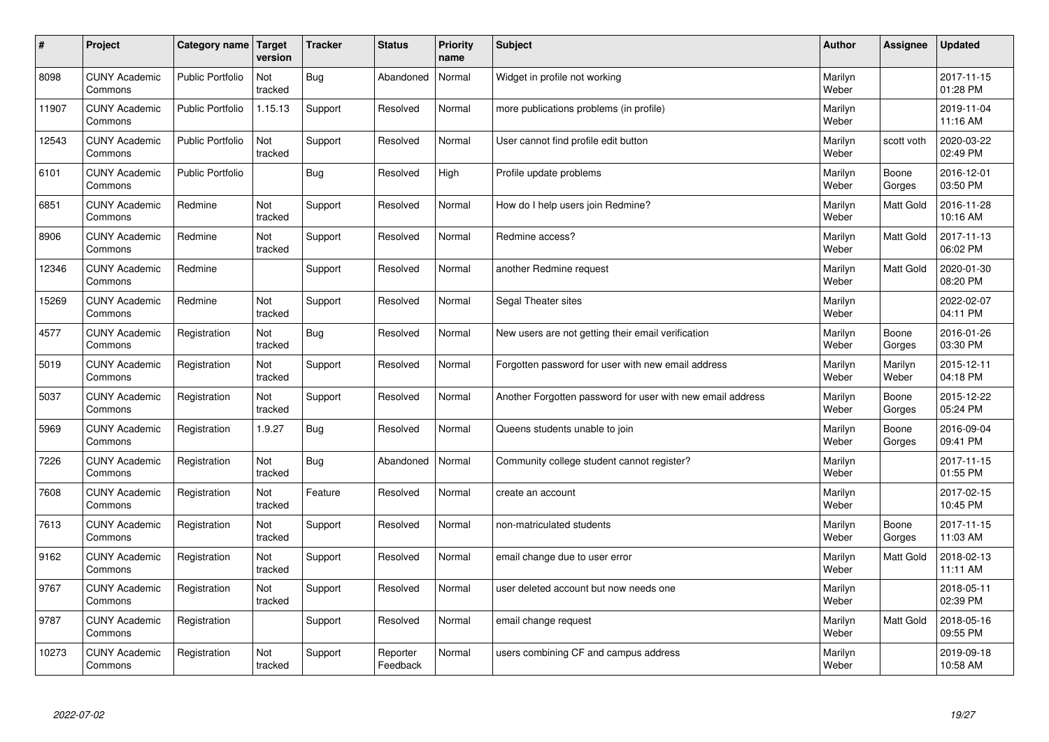| $\pmb{\#}$ | Project                         | <b>Category name</b>    | Target<br>version | <b>Tracker</b> | <b>Status</b>        | <b>Priority</b><br>name | <b>Subject</b>                                             | <b>Author</b>    | Assignee         | <b>Updated</b>         |
|------------|---------------------------------|-------------------------|-------------------|----------------|----------------------|-------------------------|------------------------------------------------------------|------------------|------------------|------------------------|
| 8098       | <b>CUNY Academic</b><br>Commons | <b>Public Portfolio</b> | Not<br>tracked    | <b>Bug</b>     | Abandoned            | Normal                  | Widget in profile not working                              | Marilyn<br>Weber |                  | 2017-11-15<br>01:28 PM |
| 11907      | <b>CUNY Academic</b><br>Commons | <b>Public Portfolio</b> | 1.15.13           | Support        | Resolved             | Normal                  | more publications problems (in profile)                    | Marilyn<br>Weber |                  | 2019-11-04<br>11:16 AM |
| 12543      | <b>CUNY Academic</b><br>Commons | <b>Public Portfolio</b> | Not<br>tracked    | Support        | Resolved             | Normal                  | User cannot find profile edit button                       | Marilyn<br>Weber | scott voth       | 2020-03-22<br>02:49 PM |
| 6101       | <b>CUNY Academic</b><br>Commons | <b>Public Portfolio</b> |                   | <b>Bug</b>     | Resolved             | High                    | Profile update problems                                    | Marilyn<br>Weber | Boone<br>Gorges  | 2016-12-01<br>03:50 PM |
| 6851       | <b>CUNY Academic</b><br>Commons | Redmine                 | Not<br>tracked    | Support        | Resolved             | Normal                  | How do I help users join Redmine?                          | Marilyn<br>Weber | <b>Matt Gold</b> | 2016-11-28<br>10:16 AM |
| 8906       | <b>CUNY Academic</b><br>Commons | Redmine                 | Not<br>tracked    | Support        | Resolved             | Normal                  | Redmine access?                                            | Marilyn<br>Weber | Matt Gold        | 2017-11-13<br>06:02 PM |
| 12346      | <b>CUNY Academic</b><br>Commons | Redmine                 |                   | Support        | Resolved             | Normal                  | another Redmine request                                    | Marilyn<br>Weber | Matt Gold        | 2020-01-30<br>08:20 PM |
| 15269      | <b>CUNY Academic</b><br>Commons | Redmine                 | Not<br>tracked    | Support        | Resolved             | Normal                  | Segal Theater sites                                        | Marilyn<br>Weber |                  | 2022-02-07<br>04:11 PM |
| 4577       | <b>CUNY Academic</b><br>Commons | Registration            | Not<br>tracked    | <b>Bug</b>     | Resolved             | Normal                  | New users are not getting their email verification         | Marilyn<br>Weber | Boone<br>Gorges  | 2016-01-26<br>03:30 PM |
| 5019       | <b>CUNY Academic</b><br>Commons | Registration            | Not<br>tracked    | Support        | Resolved             | Normal                  | Forgotten password for user with new email address         | Marilyn<br>Weber | Marilyn<br>Weber | 2015-12-11<br>04:18 PM |
| 5037       | <b>CUNY Academic</b><br>Commons | Registration            | Not<br>tracked    | Support        | Resolved             | Normal                  | Another Forgotten password for user with new email address | Marilyn<br>Weber | Boone<br>Gorges  | 2015-12-22<br>05:24 PM |
| 5969       | <b>CUNY Academic</b><br>Commons | Registration            | 1.9.27            | <b>Bug</b>     | Resolved             | Normal                  | Queens students unable to join                             | Marilyn<br>Weber | Boone<br>Gorges  | 2016-09-04<br>09:41 PM |
| 7226       | <b>CUNY Academic</b><br>Commons | Registration            | Not<br>tracked    | Bug            | Abandoned            | Normal                  | Community college student cannot register?                 | Marilyn<br>Weber |                  | 2017-11-15<br>01:55 PM |
| 7608       | <b>CUNY Academic</b><br>Commons | Registration            | Not<br>tracked    | Feature        | Resolved             | Normal                  | create an account                                          | Marilyn<br>Weber |                  | 2017-02-15<br>10:45 PM |
| 7613       | <b>CUNY Academic</b><br>Commons | Registration            | Not<br>tracked    | Support        | Resolved             | Normal                  | non-matriculated students                                  | Marilyn<br>Weber | Boone<br>Gorges  | 2017-11-15<br>11:03 AM |
| 9162       | <b>CUNY Academic</b><br>Commons | Registration            | Not<br>tracked    | Support        | Resolved             | Normal                  | email change due to user error                             | Marilyn<br>Weber | Matt Gold        | 2018-02-13<br>11:11 AM |
| 9767       | <b>CUNY Academic</b><br>Commons | Registration            | Not<br>tracked    | Support        | Resolved             | Normal                  | user deleted account but now needs one                     | Marilyn<br>Weber |                  | 2018-05-11<br>02:39 PM |
| 9787       | <b>CUNY Academic</b><br>Commons | Registration            |                   | Support        | Resolved             | Normal                  | email change request                                       | Marilyn<br>Weber | Matt Gold        | 2018-05-16<br>09:55 PM |
| 10273      | <b>CUNY Academic</b><br>Commons | Registration            | Not<br>tracked    | Support        | Reporter<br>Feedback | Normal                  | users combining CF and campus address                      | Marilyn<br>Weber |                  | 2019-09-18<br>10:58 AM |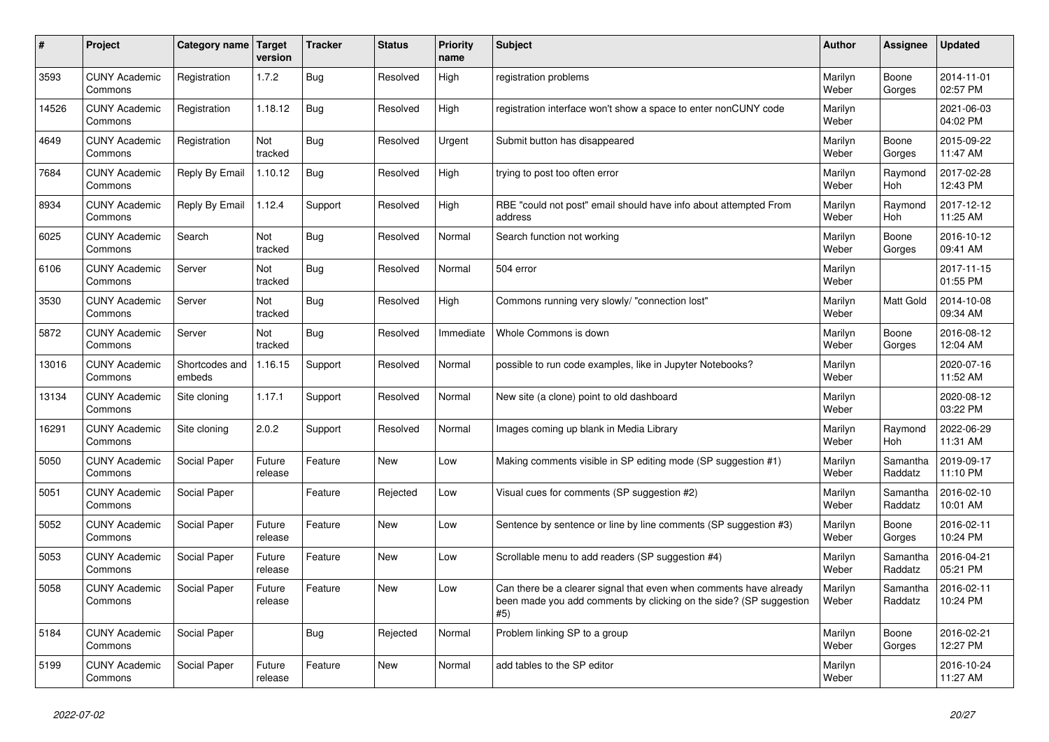| $\vert$ # | Project                         | Category name Target     | version           | <b>Tracker</b> | <b>Status</b> | <b>Priority</b><br>name | <b>Subject</b>                                                                                                                                  | <b>Author</b>    | Assignee              | <b>Updated</b>         |
|-----------|---------------------------------|--------------------------|-------------------|----------------|---------------|-------------------------|-------------------------------------------------------------------------------------------------------------------------------------------------|------------------|-----------------------|------------------------|
| 3593      | <b>CUNY Academic</b><br>Commons | Registration             | 1.7.2             | <b>Bug</b>     | Resolved      | High                    | registration problems                                                                                                                           | Marilyn<br>Weber | Boone<br>Gorges       | 2014-11-01<br>02:57 PM |
| 14526     | <b>CUNY Academic</b><br>Commons | Registration             | 1.18.12           | Bug            | Resolved      | High                    | registration interface won't show a space to enter nonCUNY code                                                                                 | Marilyn<br>Weber |                       | 2021-06-03<br>04:02 PM |
| 4649      | <b>CUNY Academic</b><br>Commons | Registration             | Not<br>tracked    | Bug            | Resolved      | Urgent                  | Submit button has disappeared                                                                                                                   | Marilyn<br>Weber | Boone<br>Gorges       | 2015-09-22<br>11:47 AM |
| 7684      | <b>CUNY Academic</b><br>Commons | Reply By Email           | 1.10.12           | Bug            | Resolved      | High                    | trying to post too often error                                                                                                                  | Marilyn<br>Weber | Raymond<br>Hoh        | 2017-02-28<br>12:43 PM |
| 8934      | <b>CUNY Academic</b><br>Commons | Reply By Email           | 1.12.4            | Support        | Resolved      | High                    | RBE "could not post" email should have info about attempted From<br>address                                                                     | Marilyn<br>Weber | Raymond<br>Hoh        | 2017-12-12<br>11:25 AM |
| 6025      | <b>CUNY Academic</b><br>Commons | Search                   | Not<br>tracked    | <b>Bug</b>     | Resolved      | Normal                  | Search function not working                                                                                                                     | Marilyn<br>Weber | Boone<br>Gorges       | 2016-10-12<br>09:41 AM |
| 6106      | <b>CUNY Academic</b><br>Commons | Server                   | Not<br>tracked    | Bug            | Resolved      | Normal                  | 504 error                                                                                                                                       | Marilyn<br>Weber |                       | 2017-11-15<br>01:55 PM |
| 3530      | <b>CUNY Academic</b><br>Commons | Server                   | Not<br>tracked    | Bug            | Resolved      | High                    | Commons running very slowly/ "connection lost"                                                                                                  | Marilyn<br>Weber | <b>Matt Gold</b>      | 2014-10-08<br>09:34 AM |
| 5872      | <b>CUNY Academic</b><br>Commons | Server                   | Not<br>tracked    | <b>Bug</b>     | Resolved      | Immediate               | Whole Commons is down                                                                                                                           | Marilyn<br>Weber | Boone<br>Gorges       | 2016-08-12<br>12:04 AM |
| 13016     | <b>CUNY Academic</b><br>Commons | Shortcodes and<br>embeds | 1.16.15           | Support        | Resolved      | Normal                  | possible to run code examples, like in Jupyter Notebooks?                                                                                       | Marilyn<br>Weber |                       | 2020-07-16<br>11:52 AM |
| 13134     | <b>CUNY Academic</b><br>Commons | Site cloning             | 1.17.1            | Support        | Resolved      | Normal                  | New site (a clone) point to old dashboard                                                                                                       | Marilyn<br>Weber |                       | 2020-08-12<br>03:22 PM |
| 16291     | <b>CUNY Academic</b><br>Commons | Site cloning             | 2.0.2             | Support        | Resolved      | Normal                  | Images coming up blank in Media Library                                                                                                         | Marilyn<br>Weber | Raymond<br><b>Hoh</b> | 2022-06-29<br>11:31 AM |
| 5050      | <b>CUNY Academic</b><br>Commons | Social Paper             | Future<br>release | Feature        | <b>New</b>    | Low                     | Making comments visible in SP editing mode (SP suggestion #1)                                                                                   | Marilyn<br>Weber | Samantha<br>Raddatz   | 2019-09-17<br>11:10 PM |
| 5051      | <b>CUNY Academic</b><br>Commons | Social Paper             |                   | Feature        | Rejected      | Low                     | Visual cues for comments (SP suggestion #2)                                                                                                     | Marilyn<br>Weber | Samantha<br>Raddatz   | 2016-02-10<br>10:01 AM |
| 5052      | <b>CUNY Academic</b><br>Commons | Social Paper             | Future<br>release | Feature        | <b>New</b>    | Low                     | Sentence by sentence or line by line comments (SP suggestion #3)                                                                                | Marilyn<br>Weber | Boone<br>Gorges       | 2016-02-11<br>10:24 PM |
| 5053      | <b>CUNY Academic</b><br>Commons | Social Paper             | Future<br>release | Feature        | <b>New</b>    | Low                     | Scrollable menu to add readers (SP suggestion #4)                                                                                               | Marilyn<br>Weber | Samantha<br>Raddatz   | 2016-04-21<br>05:21 PM |
| 5058      | <b>CUNY Academic</b><br>Commons | Social Paper             | Future<br>release | Feature        | <b>New</b>    | Low                     | Can there be a clearer signal that even when comments have already<br>been made you add comments by clicking on the side? (SP suggestion<br>#5) | Marilyn<br>Weber | Samantha<br>Raddatz   | 2016-02-11<br>10:24 PM |
| 5184      | <b>CUNY Academic</b><br>Commons | Social Paper             |                   | Bug            | Rejected      | Normal                  | Problem linking SP to a group                                                                                                                   | Marilyn<br>Weber | Boone<br>Gorges       | 2016-02-21<br>12:27 PM |
| 5199      | <b>CUNY Academic</b><br>Commons | Social Paper             | Future<br>release | Feature        | <b>New</b>    | Normal                  | add tables to the SP editor                                                                                                                     | Marilyn<br>Weber |                       | 2016-10-24<br>11:27 AM |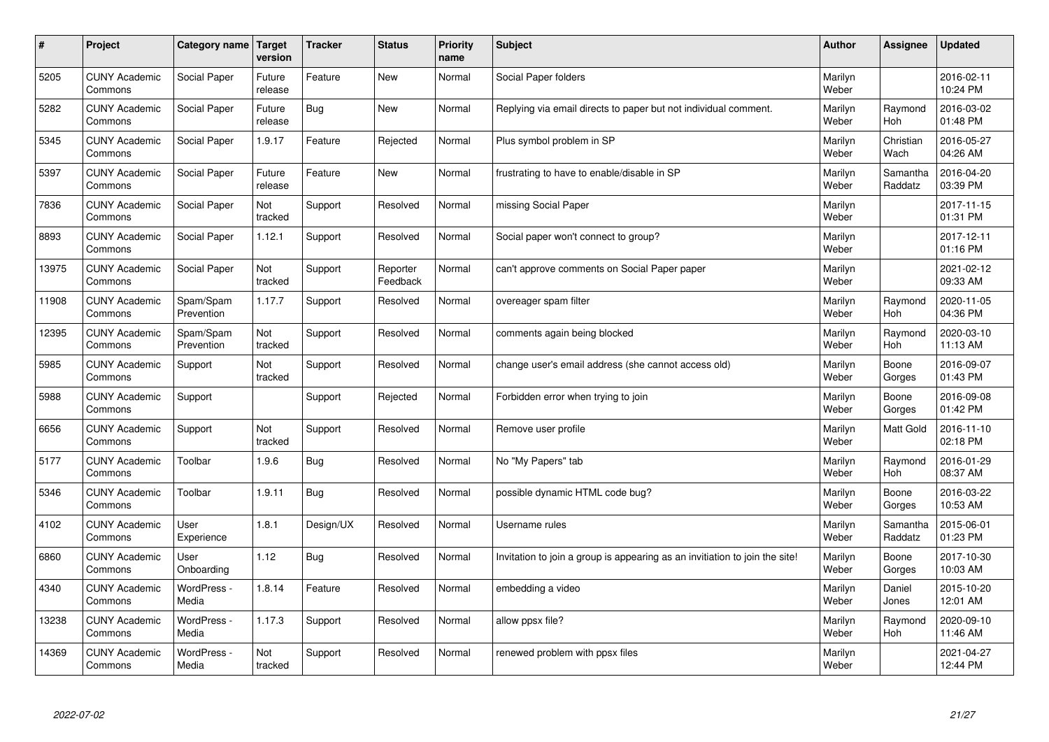| $\sharp$ | Project                         | Category name   Target  | version           | <b>Tracker</b> | <b>Status</b>        | <b>Priority</b><br>name | <b>Subject</b>                                                              | <b>Author</b>    | Assignee              | <b>Updated</b>         |
|----------|---------------------------------|-------------------------|-------------------|----------------|----------------------|-------------------------|-----------------------------------------------------------------------------|------------------|-----------------------|------------------------|
| 5205     | <b>CUNY Academic</b><br>Commons | Social Paper            | Future<br>release | Feature        | <b>New</b>           | Normal                  | Social Paper folders                                                        | Marilyn<br>Weber |                       | 2016-02-11<br>10:24 PM |
| 5282     | <b>CUNY Academic</b><br>Commons | Social Paper            | Future<br>release | Bug            | <b>New</b>           | Normal                  | Replying via email directs to paper but not individual comment.             | Marilyn<br>Weber | Raymond<br>Hoh        | 2016-03-02<br>01:48 PM |
| 5345     | <b>CUNY Academic</b><br>Commons | Social Paper            | 1.9.17            | Feature        | Rejected             | Normal                  | Plus symbol problem in SP                                                   | Marilyn<br>Weber | Christian<br>Wach     | 2016-05-27<br>04:26 AM |
| 5397     | <b>CUNY Academic</b><br>Commons | Social Paper            | Future<br>release | Feature        | <b>New</b>           | Normal                  | frustrating to have to enable/disable in SP                                 | Marilyn<br>Weber | Samantha<br>Raddatz   | 2016-04-20<br>03:39 PM |
| 7836     | <b>CUNY Academic</b><br>Commons | Social Paper            | Not<br>tracked    | Support        | Resolved             | Normal                  | missing Social Paper                                                        | Marilyn<br>Weber |                       | 2017-11-15<br>01:31 PM |
| 8893     | <b>CUNY Academic</b><br>Commons | Social Paper            | 1.12.1            | Support        | Resolved             | Normal                  | Social paper won't connect to group?                                        | Marilyn<br>Weber |                       | 2017-12-11<br>01:16 PM |
| 13975    | <b>CUNY Academic</b><br>Commons | Social Paper            | Not<br>tracked    | Support        | Reporter<br>Feedback | Normal                  | can't approve comments on Social Paper paper                                | Marilyn<br>Weber |                       | 2021-02-12<br>09:33 AM |
| 11908    | <b>CUNY Academic</b><br>Commons | Spam/Spam<br>Prevention | 1.17.7            | Support        | Resolved             | Normal                  | overeager spam filter                                                       | Marilyn<br>Weber | Raymond<br>Hoh        | 2020-11-05<br>04:36 PM |
| 12395    | <b>CUNY Academic</b><br>Commons | Spam/Spam<br>Prevention | Not<br>tracked    | Support        | Resolved             | Normal                  | comments again being blocked                                                | Marilyn<br>Weber | Raymond<br><b>Hoh</b> | 2020-03-10<br>11:13 AM |
| 5985     | <b>CUNY Academic</b><br>Commons | Support                 | Not<br>tracked    | Support        | Resolved             | Normal                  | change user's email address (she cannot access old)                         | Marilyn<br>Weber | Boone<br>Gorges       | 2016-09-07<br>01:43 PM |
| 5988     | <b>CUNY Academic</b><br>Commons | Support                 |                   | Support        | Rejected             | Normal                  | Forbidden error when trying to join                                         | Marilyn<br>Weber | Boone<br>Gorges       | 2016-09-08<br>01:42 PM |
| 6656     | <b>CUNY Academic</b><br>Commons | Support                 | Not<br>tracked    | Support        | Resolved             | Normal                  | Remove user profile                                                         | Marilyn<br>Weber | <b>Matt Gold</b>      | 2016-11-10<br>02:18 PM |
| 5177     | <b>CUNY Academic</b><br>Commons | Toolbar                 | 1.9.6             | <b>Bug</b>     | Resolved             | Normal                  | No "My Papers" tab                                                          | Marilyn<br>Weber | Raymond<br>Hoh        | 2016-01-29<br>08:37 AM |
| 5346     | <b>CUNY Academic</b><br>Commons | Toolbar                 | 1.9.11            | Bug            | Resolved             | Normal                  | possible dynamic HTML code bug?                                             | Marilyn<br>Weber | Boone<br>Gorges       | 2016-03-22<br>10:53 AM |
| 4102     | <b>CUNY Academic</b><br>Commons | User<br>Experience      | 1.8.1             | Design/UX      | Resolved             | Normal                  | Username rules                                                              | Marilyn<br>Weber | Samantha<br>Raddatz   | 2015-06-01<br>01:23 PM |
| 6860     | <b>CUNY Academic</b><br>Commons | User<br>Onboarding      | 1.12              | Bug            | Resolved             | Normal                  | Invitation to join a group is appearing as an invitiation to join the site! | Marilyn<br>Weber | Boone<br>Gorges       | 2017-10-30<br>10:03 AM |
| 4340     | <b>CUNY Academic</b><br>Commons | WordPress -<br>Media    | 1.8.14            | Feature        | Resolved             | Normal                  | embedding a video                                                           | Marilyn<br>Weber | Daniel<br>Jones       | 2015-10-20<br>12:01 AM |
| 13238    | <b>CUNY Academic</b><br>Commons | WordPress -<br>Media    | 1.17.3            | Support        | Resolved             | Normal                  | allow ppsx file?                                                            | Marilyn<br>Weber | Raymond<br><b>Hoh</b> | 2020-09-10<br>11:46 AM |
| 14369    | <b>CUNY Academic</b><br>Commons | WordPress -<br>Media    | Not<br>tracked    | Support        | Resolved             | Normal                  | renewed problem with ppsx files                                             | Marilyn<br>Weber |                       | 2021-04-27<br>12:44 PM |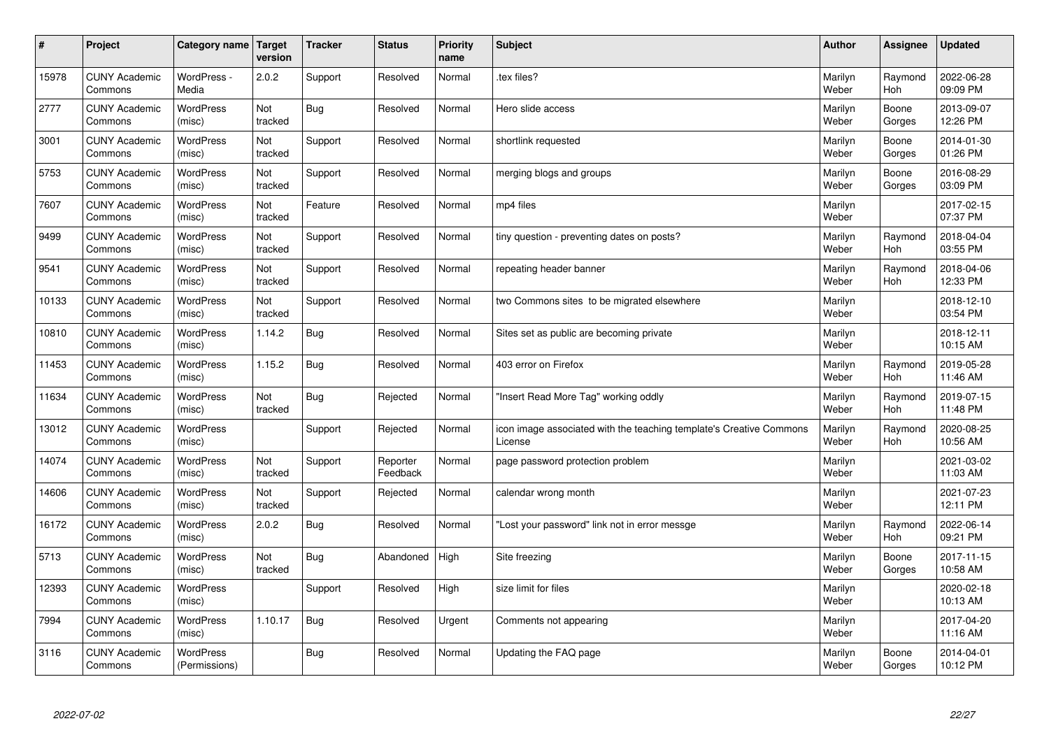| #     | Project                         | Category name   Target            | version        | <b>Tracker</b> | <b>Status</b>        | <b>Priority</b><br>name | <b>Subject</b>                                                                 | <b>Author</b>    | <b>Assignee</b>       | <b>Updated</b>         |
|-------|---------------------------------|-----------------------------------|----------------|----------------|----------------------|-------------------------|--------------------------------------------------------------------------------|------------------|-----------------------|------------------------|
| 15978 | <b>CUNY Academic</b><br>Commons | WordPress -<br>Media              | 2.0.2          | Support        | Resolved             | Normal                  | tex files?                                                                     | Marilyn<br>Weber | Raymond<br><b>Hoh</b> | 2022-06-28<br>09:09 PM |
| 2777  | <b>CUNY Academic</b><br>Commons | <b>WordPress</b><br>(misc)        | Not<br>tracked | <b>Bug</b>     | Resolved             | Normal                  | Hero slide access                                                              | Marilyn<br>Weber | Boone<br>Gorges       | 2013-09-07<br>12:26 PM |
| 3001  | <b>CUNY Academic</b><br>Commons | <b>WordPress</b><br>(misc)        | Not<br>tracked | Support        | Resolved             | Normal                  | shortlink requested                                                            | Marilyn<br>Weber | Boone<br>Gorges       | 2014-01-30<br>01:26 PM |
| 5753  | <b>CUNY Academic</b><br>Commons | <b>WordPress</b><br>(misc)        | Not<br>tracked | Support        | Resolved             | Normal                  | merging blogs and groups                                                       | Marilyn<br>Weber | Boone<br>Gorges       | 2016-08-29<br>03:09 PM |
| 7607  | <b>CUNY Academic</b><br>Commons | <b>WordPress</b><br>(misc)        | Not<br>tracked | Feature        | Resolved             | Normal                  | mp4 files                                                                      | Marilyn<br>Weber |                       | 2017-02-15<br>07:37 PM |
| 9499  | <b>CUNY Academic</b><br>Commons | <b>WordPress</b><br>(misc)        | Not<br>tracked | Support        | Resolved             | Normal                  | tiny question - preventing dates on posts?                                     | Marilyn<br>Weber | Raymond<br>Hoh        | 2018-04-04<br>03:55 PM |
| 9541  | <b>CUNY Academic</b><br>Commons | <b>WordPress</b><br>(misc)        | Not<br>tracked | Support        | Resolved             | Normal                  | repeating header banner                                                        | Marilyn<br>Weber | Raymond<br><b>Hoh</b> | 2018-04-06<br>12:33 PM |
| 10133 | <b>CUNY Academic</b><br>Commons | WordPress<br>(misc)               | Not<br>tracked | Support        | Resolved             | Normal                  | two Commons sites to be migrated elsewhere                                     | Marilyn<br>Weber |                       | 2018-12-10<br>03:54 PM |
| 10810 | <b>CUNY Academic</b><br>Commons | <b>WordPress</b><br>(misc)        | 1.14.2         | <b>Bug</b>     | Resolved             | Normal                  | Sites set as public are becoming private                                       | Marilyn<br>Weber |                       | 2018-12-11<br>10:15 AM |
| 11453 | <b>CUNY Academic</b><br>Commons | <b>WordPress</b><br>(misc)        | 1.15.2         | <b>Bug</b>     | Resolved             | Normal                  | 403 error on Firefox                                                           | Marilyn<br>Weber | Raymond<br>Hoh        | 2019-05-28<br>11:46 AM |
| 11634 | <b>CUNY Academic</b><br>Commons | WordPress<br>(misc)               | Not<br>tracked | Bug            | Rejected             | Normal                  | 'Insert Read More Tag" working oddly                                           | Marilyn<br>Weber | Raymond<br><b>Hoh</b> | 2019-07-15<br>11:48 PM |
| 13012 | <b>CUNY Academic</b><br>Commons | <b>WordPress</b><br>(misc)        |                | Support        | Rejected             | Normal                  | icon image associated with the teaching template's Creative Commons<br>License | Marilyn<br>Weber | Raymond<br><b>Hoh</b> | 2020-08-25<br>10:56 AM |
| 14074 | <b>CUNY Academic</b><br>Commons | <b>WordPress</b><br>(misc)        | Not<br>tracked | Support        | Reporter<br>Feedback | Normal                  | page password protection problem                                               | Marilyn<br>Weber |                       | 2021-03-02<br>11:03 AM |
| 14606 | <b>CUNY Academic</b><br>Commons | WordPress<br>(misc)               | Not<br>tracked | Support        | Rejected             | Normal                  | calendar wrong month                                                           | Marilyn<br>Weber |                       | 2021-07-23<br>12:11 PM |
| 16172 | <b>CUNY Academic</b><br>Commons | <b>WordPress</b><br>(misc)        | 2.0.2          | Bug            | Resolved             | Normal                  | 'Lost your password" link not in error messge                                  | Marilyn<br>Weber | Raymond<br>Hoh        | 2022-06-14<br>09:21 PM |
| 5713  | <b>CUNY Academic</b><br>Commons | WordPress<br>(misc)               | Not<br>tracked | <b>Bug</b>     | Abandoned            | High                    | Site freezing                                                                  | Marilyn<br>Weber | Boone<br>Gorges       | 2017-11-15<br>10:58 AM |
| 12393 | <b>CUNY Academic</b><br>Commons | WordPress<br>(misc)               |                | Support        | Resolved             | High                    | size limit for files                                                           | Marilyn<br>Weber |                       | 2020-02-18<br>10:13 AM |
| 7994  | <b>CUNY Academic</b><br>Commons | WordPress<br>(misc)               | 1.10.17        | Bug            | Resolved             | Urgent                  | Comments not appearing                                                         | Marilyn<br>Weber |                       | 2017-04-20<br>11:16 AM |
| 3116  | <b>CUNY Academic</b><br>Commons | <b>WordPress</b><br>(Permissions) |                | <b>Bug</b>     | Resolved             | Normal                  | Updating the FAQ page                                                          | Marilyn<br>Weber | Boone<br>Gorges       | 2014-04-01<br>10:12 PM |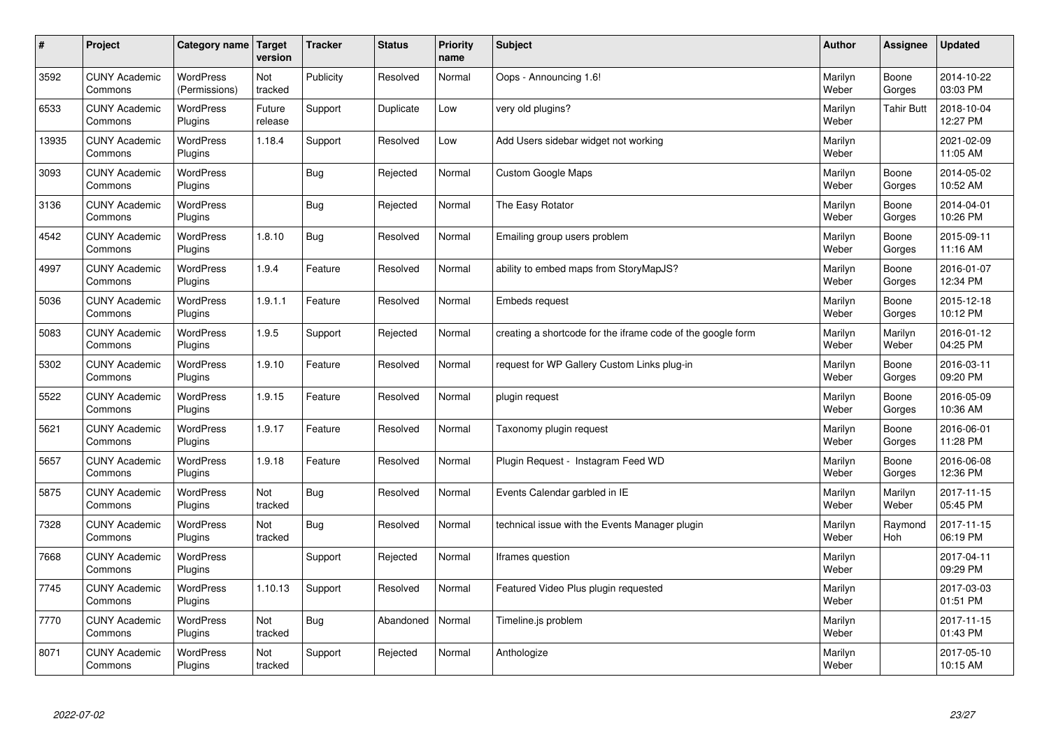| $\sharp$ | Project                         | Category name   Target            | version           | <b>Tracker</b> | <b>Status</b> | <b>Priority</b><br>name | <b>Subject</b>                                              | <b>Author</b>    | <b>Assignee</b>   | <b>Updated</b>         |
|----------|---------------------------------|-----------------------------------|-------------------|----------------|---------------|-------------------------|-------------------------------------------------------------|------------------|-------------------|------------------------|
| 3592     | <b>CUNY Academic</b><br>Commons | <b>WordPress</b><br>(Permissions) | Not<br>tracked    | Publicity      | Resolved      | Normal                  | Oops - Announcing 1.6!                                      | Marilyn<br>Weber | Boone<br>Gorges   | 2014-10-22<br>03:03 PM |
| 6533     | <b>CUNY Academic</b><br>Commons | <b>WordPress</b><br>Plugins       | Future<br>release | Support        | Duplicate     | Low                     | very old plugins?                                           | Marilyn<br>Weber | <b>Tahir Butt</b> | 2018-10-04<br>12:27 PM |
| 13935    | <b>CUNY Academic</b><br>Commons | WordPress<br>Plugins              | 1.18.4            | Support        | Resolved      | Low                     | Add Users sidebar widget not working                        | Marilyn<br>Weber |                   | 2021-02-09<br>11:05 AM |
| 3093     | <b>CUNY Academic</b><br>Commons | <b>WordPress</b><br>Plugins       |                   | <b>Bug</b>     | Rejected      | Normal                  | <b>Custom Google Maps</b>                                   | Marilyn<br>Weber | Boone<br>Gorges   | 2014-05-02<br>10:52 AM |
| 3136     | <b>CUNY Academic</b><br>Commons | <b>WordPress</b><br>Plugins       |                   | Bug            | Rejected      | Normal                  | The Easy Rotator                                            | Marilyn<br>Weber | Boone<br>Gorges   | 2014-04-01<br>10:26 PM |
| 4542     | <b>CUNY Academic</b><br>Commons | <b>WordPress</b><br>Plugins       | 1.8.10            | Bug            | Resolved      | Normal                  | Emailing group users problem                                | Marilyn<br>Weber | Boone<br>Gorges   | 2015-09-11<br>11:16 AM |
| 4997     | <b>CUNY Academic</b><br>Commons | <b>WordPress</b><br>Plugins       | 1.9.4             | Feature        | Resolved      | Normal                  | ability to embed maps from StoryMapJS?                      | Marilyn<br>Weber | Boone<br>Gorges   | 2016-01-07<br>12:34 PM |
| 5036     | <b>CUNY Academic</b><br>Commons | WordPress<br>Plugins              | 1.9.1.1           | Feature        | Resolved      | Normal                  | <b>Embeds request</b>                                       | Marilyn<br>Weber | Boone<br>Gorges   | 2015-12-18<br>10:12 PM |
| 5083     | <b>CUNY Academic</b><br>Commons | <b>WordPress</b><br>Plugins       | 1.9.5             | Support        | Rejected      | Normal                  | creating a shortcode for the iframe code of the google form | Marilyn<br>Weber | Marilyn<br>Weber  | 2016-01-12<br>04:25 PM |
| 5302     | <b>CUNY Academic</b><br>Commons | WordPress<br>Plugins              | 1.9.10            | Feature        | Resolved      | Normal                  | request for WP Gallery Custom Links plug-in                 | Marilyn<br>Weber | Boone<br>Gorges   | 2016-03-11<br>09:20 PM |
| 5522     | <b>CUNY Academic</b><br>Commons | <b>WordPress</b><br>Plugins       | 1.9.15            | Feature        | Resolved      | Normal                  | plugin request                                              | Marilyn<br>Weber | Boone<br>Gorges   | 2016-05-09<br>10:36 AM |
| 5621     | <b>CUNY Academic</b><br>Commons | <b>WordPress</b><br>Plugins       | 1.9.17            | Feature        | Resolved      | Normal                  | Taxonomy plugin request                                     | Marilyn<br>Weber | Boone<br>Gorges   | 2016-06-01<br>11:28 PM |
| 5657     | <b>CUNY Academic</b><br>Commons | <b>WordPress</b><br>Plugins       | 1.9.18            | Feature        | Resolved      | Normal                  | Plugin Request - Instagram Feed WD                          | Marilyn<br>Weber | Boone<br>Gorges   | 2016-06-08<br>12:36 PM |
| 5875     | <b>CUNY Academic</b><br>Commons | WordPress<br>Plugins              | Not<br>tracked    | <b>Bug</b>     | Resolved      | Normal                  | Events Calendar garbled in IE                               | Marilyn<br>Weber | Marilyn<br>Weber  | 2017-11-15<br>05:45 PM |
| 7328     | <b>CUNY Academic</b><br>Commons | <b>WordPress</b><br>Plugins       | Not<br>tracked    | Bug            | Resolved      | Normal                  | technical issue with the Events Manager plugin              | Marilyn<br>Weber | Raymond<br>Hoh    | 2017-11-15<br>06:19 PM |
| 7668     | <b>CUNY Academic</b><br>Commons | <b>WordPress</b><br>Plugins       |                   | Support        | Rejected      | Normal                  | Iframes question                                            | Marilyn<br>Weber |                   | 2017-04-11<br>09:29 PM |
| 7745     | <b>CUNY Academic</b><br>Commons | WordPress<br>Plugins              | 1.10.13           | Support        | Resolved      | Normal                  | Featured Video Plus plugin requested                        | Marilyn<br>Weber |                   | 2017-03-03<br>01:51 PM |
| 7770     | <b>CUNY Academic</b><br>Commons | WordPress<br>Plugins              | Not<br>tracked    | Bug            | Abandoned     | Normal                  | Timeline.js problem                                         | Marilyn<br>Weber |                   | 2017-11-15<br>01:43 PM |
| 8071     | <b>CUNY Academic</b><br>Commons | WordPress<br>Plugins              | Not<br>tracked    | Support        | Rejected      | Normal                  | Anthologize                                                 | Marilyn<br>Weber |                   | 2017-05-10<br>10:15 AM |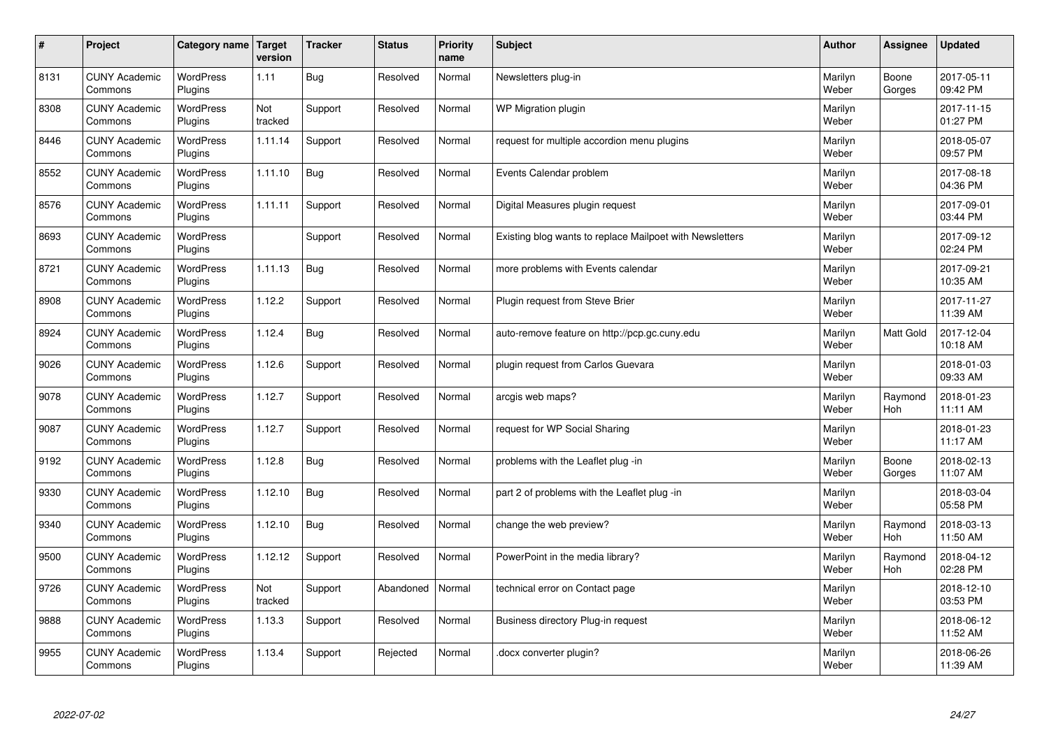| $\vert$ # | Project                         | Category name               | Target<br>version | <b>Tracker</b> | <b>Status</b> | <b>Priority</b><br>name | <b>Subject</b>                                           | <b>Author</b>    | Assignee              | <b>Updated</b>         |
|-----------|---------------------------------|-----------------------------|-------------------|----------------|---------------|-------------------------|----------------------------------------------------------|------------------|-----------------------|------------------------|
| 8131      | <b>CUNY Academic</b><br>Commons | <b>WordPress</b><br>Plugins | 1.11              | Bug            | Resolved      | Normal                  | Newsletters plug-in                                      | Marilyn<br>Weber | Boone<br>Gorges       | 2017-05-11<br>09:42 PM |
| 8308      | <b>CUNY Academic</b><br>Commons | <b>WordPress</b><br>Plugins | Not<br>tracked    | Support        | Resolved      | Normal                  | <b>WP Migration plugin</b>                               | Marilyn<br>Weber |                       | 2017-11-15<br>01:27 PM |
| 8446      | <b>CUNY Academic</b><br>Commons | <b>WordPress</b><br>Plugins | 1.11.14           | Support        | Resolved      | Normal                  | request for multiple accordion menu plugins              | Marilyn<br>Weber |                       | 2018-05-07<br>09:57 PM |
| 8552      | <b>CUNY Academic</b><br>Commons | <b>WordPress</b><br>Plugins | 1.11.10           | Bug            | Resolved      | Normal                  | Events Calendar problem                                  | Marilyn<br>Weber |                       | 2017-08-18<br>04:36 PM |
| 8576      | <b>CUNY Academic</b><br>Commons | <b>WordPress</b><br>Plugins | 1.11.11           | Support        | Resolved      | Normal                  | Digital Measures plugin request                          | Marilyn<br>Weber |                       | 2017-09-01<br>03:44 PM |
| 8693      | <b>CUNY Academic</b><br>Commons | WordPress<br>Plugins        |                   | Support        | Resolved      | Normal                  | Existing blog wants to replace Mailpoet with Newsletters | Marilyn<br>Weber |                       | 2017-09-12<br>02:24 PM |
| 8721      | <b>CUNY Academic</b><br>Commons | <b>WordPress</b><br>Plugins | 1.11.13           | Bug            | Resolved      | Normal                  | more problems with Events calendar                       | Marilyn<br>Weber |                       | 2017-09-21<br>10:35 AM |
| 8908      | <b>CUNY Academic</b><br>Commons | <b>WordPress</b><br>Plugins | 1.12.2            | Support        | Resolved      | Normal                  | Plugin request from Steve Brier                          | Marilyn<br>Weber |                       | 2017-11-27<br>11:39 AM |
| 8924      | <b>CUNY Academic</b><br>Commons | <b>WordPress</b><br>Plugins | 1.12.4            | Bug            | Resolved      | Normal                  | auto-remove feature on http://pcp.gc.cuny.edu            | Marilyn<br>Weber | <b>Matt Gold</b>      | 2017-12-04<br>10:18 AM |
| 9026      | <b>CUNY Academic</b><br>Commons | WordPress<br>Plugins        | 1.12.6            | Support        | Resolved      | Normal                  | plugin request from Carlos Guevara                       | Marilyn<br>Weber |                       | 2018-01-03<br>09:33 AM |
| 9078      | <b>CUNY Academic</b><br>Commons | WordPress<br>Plugins        | 1.12.7            | Support        | Resolved      | Normal                  | arcgis web maps?                                         | Marilyn<br>Weber | Raymond<br>Hoh        | 2018-01-23<br>11:11 AM |
| 9087      | <b>CUNY Academic</b><br>Commons | WordPress<br>Plugins        | 1.12.7            | Support        | Resolved      | Normal                  | request for WP Social Sharing                            | Marilyn<br>Weber |                       | 2018-01-23<br>11:17 AM |
| 9192      | <b>CUNY Academic</b><br>Commons | WordPress<br>Plugins        | 1.12.8            | Bug            | Resolved      | Normal                  | problems with the Leaflet plug -in                       | Marilyn<br>Weber | Boone<br>Gorges       | 2018-02-13<br>11:07 AM |
| 9330      | <b>CUNY Academic</b><br>Commons | <b>WordPress</b><br>Plugins | 1.12.10           | Bug            | Resolved      | Normal                  | part 2 of problems with the Leaflet plug -in             | Marilyn<br>Weber |                       | 2018-03-04<br>05:58 PM |
| 9340      | <b>CUNY Academic</b><br>Commons | <b>WordPress</b><br>Plugins | 1.12.10           | Bug            | Resolved      | Normal                  | change the web preview?                                  | Marilyn<br>Weber | Raymond<br><b>Hoh</b> | 2018-03-13<br>11:50 AM |
| 9500      | <b>CUNY Academic</b><br>Commons | <b>WordPress</b><br>Plugins | 1.12.12           | Support        | Resolved      | Normal                  | PowerPoint in the media library?                         | Marilyn<br>Weber | Raymond<br><b>Hoh</b> | 2018-04-12<br>02:28 PM |
| 9726      | <b>CUNY Academic</b><br>Commons | WordPress<br>Plugins        | Not<br>tracked    | Support        | Abandoned     | Normal                  | technical error on Contact page                          | Marilyn<br>Weber |                       | 2018-12-10<br>03:53 PM |
| 9888      | <b>CUNY Academic</b><br>Commons | WordPress<br>Plugins        | 1.13.3            | Support        | Resolved      | Normal                  | Business directory Plug-in request                       | Marilyn<br>Weber |                       | 2018-06-12<br>11:52 AM |
| 9955      | <b>CUNY Academic</b><br>Commons | WordPress<br>Plugins        | 1.13.4            | Support        | Rejected      | Normal                  | docx converter plugin?                                   | Marilyn<br>Weber |                       | 2018-06-26<br>11:39 AM |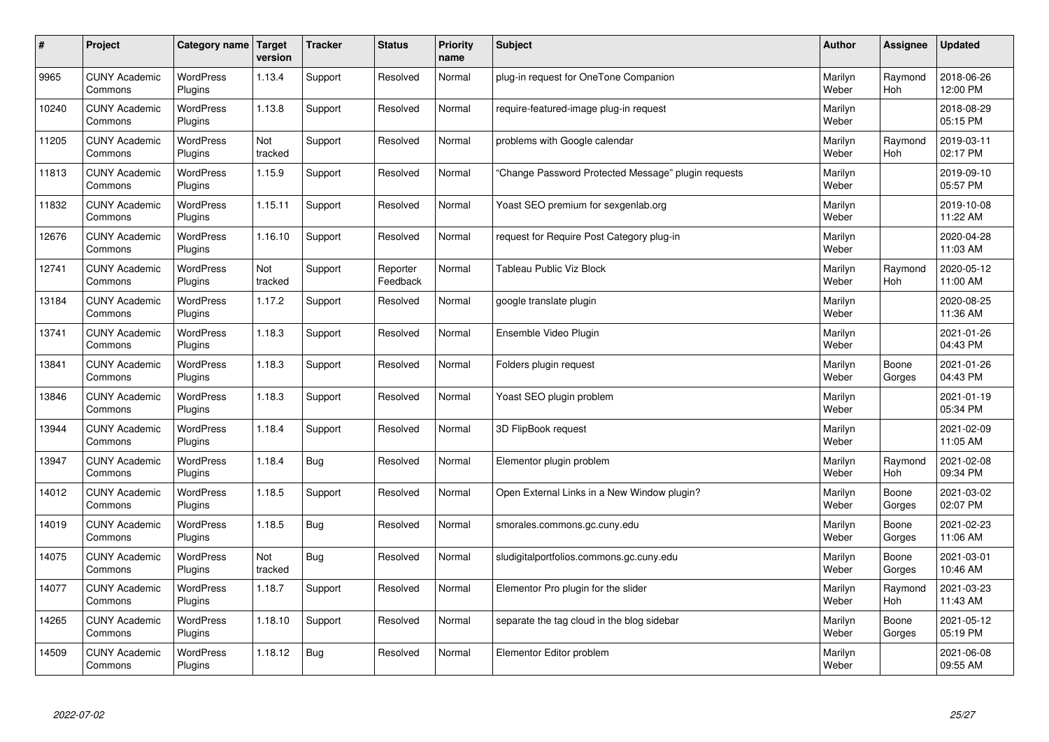| $\#$  | Project                         | Category name               | Target<br>version | <b>Tracker</b> | <b>Status</b>        | <b>Priority</b><br>name | <b>Subject</b>                                      | <b>Author</b>    | <b>Assignee</b>       | <b>Updated</b>         |
|-------|---------------------------------|-----------------------------|-------------------|----------------|----------------------|-------------------------|-----------------------------------------------------|------------------|-----------------------|------------------------|
| 9965  | <b>CUNY Academic</b><br>Commons | <b>WordPress</b><br>Plugins | 1.13.4            | Support        | Resolved             | Normal                  | plug-in request for OneTone Companion               | Marilyn<br>Weber | Raymond<br>Hoh        | 2018-06-26<br>12:00 PM |
| 10240 | <b>CUNY Academic</b><br>Commons | <b>WordPress</b><br>Plugins | 1.13.8            | Support        | Resolved             | Normal                  | require-featured-image plug-in request              | Marilyn<br>Weber |                       | 2018-08-29<br>05:15 PM |
| 11205 | <b>CUNY Academic</b><br>Commons | <b>WordPress</b><br>Plugins | Not<br>tracked    | Support        | Resolved             | Normal                  | problems with Google calendar                       | Marilyn<br>Weber | Raymond<br><b>Hoh</b> | 2019-03-11<br>02:17 PM |
| 11813 | <b>CUNY Academic</b><br>Commons | <b>WordPress</b><br>Plugins | 1.15.9            | Support        | Resolved             | Normal                  | 'Change Password Protected Message" plugin requests | Marilyn<br>Weber |                       | 2019-09-10<br>05:57 PM |
| 11832 | <b>CUNY Academic</b><br>Commons | <b>WordPress</b><br>Plugins | 1.15.11           | Support        | Resolved             | Normal                  | Yoast SEO premium for sexgenlab.org                 | Marilyn<br>Weber |                       | 2019-10-08<br>11:22 AM |
| 12676 | <b>CUNY Academic</b><br>Commons | <b>WordPress</b><br>Plugins | 1.16.10           | Support        | Resolved             | Normal                  | request for Require Post Category plug-in           | Marilyn<br>Weber |                       | 2020-04-28<br>11:03 AM |
| 12741 | <b>CUNY Academic</b><br>Commons | <b>WordPress</b><br>Plugins | Not<br>tracked    | Support        | Reporter<br>Feedback | Normal                  | <b>Tableau Public Viz Block</b>                     | Marilyn<br>Weber | Raymond<br><b>Hoh</b> | 2020-05-12<br>11:00 AM |
| 13184 | <b>CUNY Academic</b><br>Commons | WordPress<br>Plugins        | 1.17.2            | Support        | Resolved             | Normal                  | google translate plugin                             | Marilyn<br>Weber |                       | 2020-08-25<br>11:36 AM |
| 13741 | <b>CUNY Academic</b><br>Commons | <b>WordPress</b><br>Plugins | 1.18.3            | Support        | Resolved             | Normal                  | Ensemble Video Plugin                               | Marilyn<br>Weber |                       | 2021-01-26<br>04:43 PM |
| 13841 | <b>CUNY Academic</b><br>Commons | <b>WordPress</b><br>Plugins | 1.18.3            | Support        | Resolved             | Normal                  | Folders plugin request                              | Marilyn<br>Weber | Boone<br>Gorges       | 2021-01-26<br>04:43 PM |
| 13846 | <b>CUNY Academic</b><br>Commons | <b>WordPress</b><br>Plugins | 1.18.3            | Support        | Resolved             | Normal                  | Yoast SEO plugin problem                            | Marilyn<br>Weber |                       | 2021-01-19<br>05:34 PM |
| 13944 | <b>CUNY Academic</b><br>Commons | <b>WordPress</b><br>Plugins | 1.18.4            | Support        | Resolved             | Normal                  | 3D FlipBook request                                 | Marilyn<br>Weber |                       | 2021-02-09<br>11:05 AM |
| 13947 | <b>CUNY Academic</b><br>Commons | <b>WordPress</b><br>Plugins | 1.18.4            | Bug            | Resolved             | Normal                  | Elementor plugin problem                            | Marilyn<br>Weber | Raymond<br><b>Hoh</b> | 2021-02-08<br>09:34 PM |
| 14012 | <b>CUNY Academic</b><br>Commons | WordPress<br>Plugins        | 1.18.5            | Support        | Resolved             | Normal                  | Open External Links in a New Window plugin?         | Marilyn<br>Weber | Boone<br>Gorges       | 2021-03-02<br>02:07 PM |
| 14019 | <b>CUNY Academic</b><br>Commons | <b>WordPress</b><br>Plugins | 1.18.5            | Bug            | Resolved             | Normal                  | smorales.commons.gc.cuny.edu                        | Marilyn<br>Weber | Boone<br>Gorges       | 2021-02-23<br>11:06 AM |
| 14075 | <b>CUNY Academic</b><br>Commons | WordPress<br>Plugins        | Not<br>tracked    | Bug            | Resolved             | Normal                  | sludigitalportfolios.commons.gc.cuny.edu            | Marilyn<br>Weber | Boone<br>Gorges       | 2021-03-01<br>10:46 AM |
| 14077 | <b>CUNY Academic</b><br>Commons | WordPress<br>Plugins        | 1.18.7            | Support        | Resolved             | Normal                  | Elementor Pro plugin for the slider                 | Marilyn<br>Weber | Raymond<br><b>Hoh</b> | 2021-03-23<br>11:43 AM |
| 14265 | <b>CUNY Academic</b><br>Commons | WordPress<br>Plugins        | 1.18.10           | Support        | Resolved             | Normal                  | separate the tag cloud in the blog sidebar          | Marilyn<br>Weber | Boone<br>Gorges       | 2021-05-12<br>05:19 PM |
| 14509 | <b>CUNY Academic</b><br>Commons | WordPress<br>Plugins        | 1.18.12           | Bug            | Resolved             | Normal                  | Elementor Editor problem                            | Marilyn<br>Weber |                       | 2021-06-08<br>09:55 AM |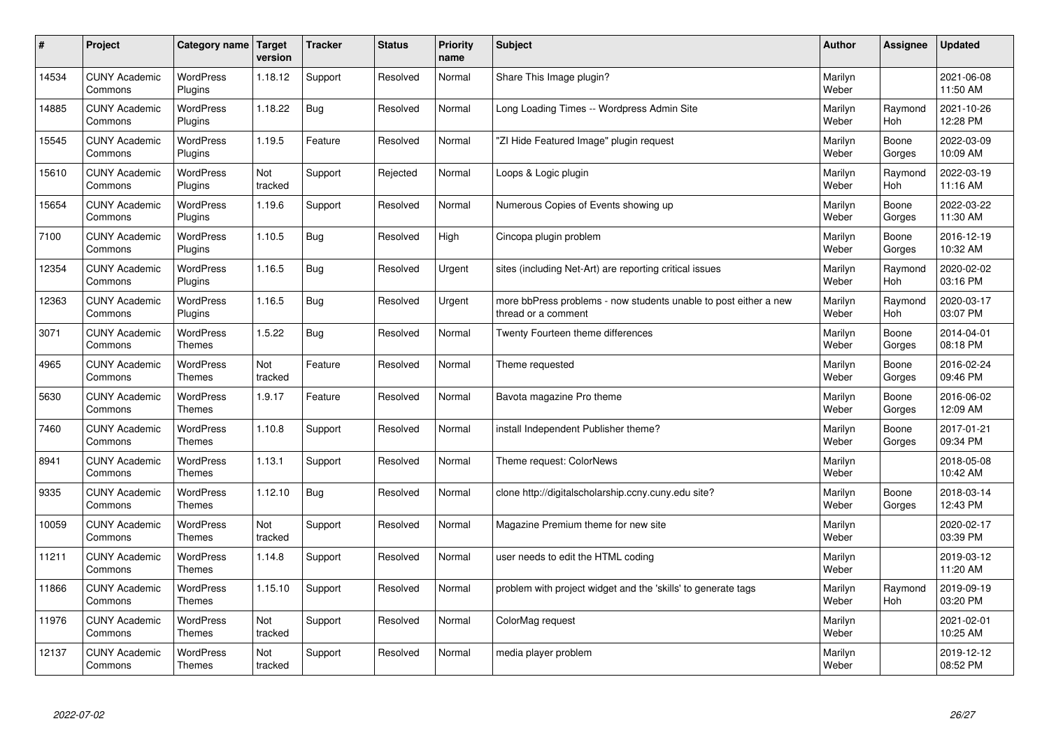| $\sharp$ | Project                         | Category name                     | Target<br>version | <b>Tracker</b> | <b>Status</b> | <b>Priority</b><br>name | <b>Subject</b>                                                                          | <b>Author</b>    | Assignee              | <b>Updated</b>         |
|----------|---------------------------------|-----------------------------------|-------------------|----------------|---------------|-------------------------|-----------------------------------------------------------------------------------------|------------------|-----------------------|------------------------|
| 14534    | <b>CUNY Academic</b><br>Commons | <b>WordPress</b><br>Plugins       | 1.18.12           | Support        | Resolved      | Normal                  | Share This Image plugin?                                                                | Marilyn<br>Weber |                       | 2021-06-08<br>11:50 AM |
| 14885    | <b>CUNY Academic</b><br>Commons | <b>WordPress</b><br>Plugins       | 1.18.22           | Bug            | Resolved      | Normal                  | Long Loading Times -- Wordpress Admin Site                                              | Marilyn<br>Weber | Raymond<br>Hoh        | 2021-10-26<br>12:28 PM |
| 15545    | <b>CUNY Academic</b><br>Commons | <b>WordPress</b><br>Plugins       | 1.19.5            | Feature        | Resolved      | Normal                  | "ZI Hide Featured Image" plugin request                                                 | Marilyn<br>Weber | Boone<br>Gorges       | 2022-03-09<br>10:09 AM |
| 15610    | <b>CUNY Academic</b><br>Commons | <b>WordPress</b><br>Plugins       | Not<br>tracked    | Support        | Rejected      | Normal                  | Loops & Logic plugin                                                                    | Marilyn<br>Weber | Raymond<br><b>Hoh</b> | 2022-03-19<br>11:16 AM |
| 15654    | <b>CUNY Academic</b><br>Commons | <b>WordPress</b><br>Plugins       | 1.19.6            | Support        | Resolved      | Normal                  | Numerous Copies of Events showing up                                                    | Marilyn<br>Weber | Boone<br>Gorges       | 2022-03-22<br>11:30 AM |
| 7100     | <b>CUNY Academic</b><br>Commons | WordPress<br>Plugins              | 1.10.5            | Bug            | Resolved      | High                    | Cincopa plugin problem                                                                  | Marilyn<br>Weber | Boone<br>Gorges       | 2016-12-19<br>10:32 AM |
| 12354    | <b>CUNY Academic</b><br>Commons | WordPress<br>Plugins              | 1.16.5            | <b>Bug</b>     | Resolved      | Urgent                  | sites (including Net-Art) are reporting critical issues                                 | Marilyn<br>Weber | Raymond<br>Hoh        | 2020-02-02<br>03:16 PM |
| 12363    | <b>CUNY Academic</b><br>Commons | WordPress<br>Plugins              | 1.16.5            | Bug            | Resolved      | Urgent                  | more bbPress problems - now students unable to post either a new<br>thread or a comment | Marilyn<br>Weber | Raymond<br>Hoh        | 2020-03-17<br>03:07 PM |
| 3071     | <b>CUNY Academic</b><br>Commons | <b>WordPress</b><br><b>Themes</b> | 1.5.22            | Bug            | Resolved      | Normal                  | Twenty Fourteen theme differences                                                       | Marilyn<br>Weber | Boone<br>Gorges       | 2014-04-01<br>08:18 PM |
| 4965     | <b>CUNY Academic</b><br>Commons | WordPress<br><b>Themes</b>        | Not<br>tracked    | Feature        | Resolved      | Normal                  | Theme requested                                                                         | Marilyn<br>Weber | Boone<br>Gorges       | 2016-02-24<br>09:46 PM |
| 5630     | <b>CUNY Academic</b><br>Commons | <b>WordPress</b><br><b>Themes</b> | 1.9.17            | Feature        | Resolved      | Normal                  | Bavota magazine Pro theme                                                               | Marilyn<br>Weber | Boone<br>Gorges       | 2016-06-02<br>12:09 AM |
| 7460     | <b>CUNY Academic</b><br>Commons | <b>WordPress</b><br><b>Themes</b> | 1.10.8            | Support        | Resolved      | Normal                  | install Independent Publisher theme?                                                    | Marilyn<br>Weber | Boone<br>Gorges       | 2017-01-21<br>09:34 PM |
| 8941     | <b>CUNY Academic</b><br>Commons | <b>WordPress</b><br><b>Themes</b> | 1.13.1            | Support        | Resolved      | Normal                  | Theme request: ColorNews                                                                | Marilyn<br>Weber |                       | 2018-05-08<br>10:42 AM |
| 9335     | <b>CUNY Academic</b><br>Commons | <b>WordPress</b><br><b>Themes</b> | 1.12.10           | Bug            | Resolved      | Normal                  | clone http://digitalscholarship.ccny.cuny.edu site?                                     | Marilyn<br>Weber | Boone<br>Gorges       | 2018-03-14<br>12:43 PM |
| 10059    | <b>CUNY Academic</b><br>Commons | <b>WordPress</b><br><b>Themes</b> | Not<br>tracked    | Support        | Resolved      | Normal                  | Magazine Premium theme for new site                                                     | Marilyn<br>Weber |                       | 2020-02-17<br>03:39 PM |
| 11211    | <b>CUNY Academic</b><br>Commons | <b>WordPress</b><br><b>Themes</b> | 1.14.8            | Support        | Resolved      | Normal                  | user needs to edit the HTML coding                                                      | Marilyn<br>Weber |                       | 2019-03-12<br>11:20 AM |
| 11866    | <b>CUNY Academic</b><br>Commons | WordPress<br>Themes               | 1.15.10           | Support        | Resolved      | Normal                  | problem with project widget and the 'skills' to generate tags                           | Marilyn<br>Weber | Raymond<br>Hoh        | 2019-09-19<br>03:20 PM |
| 11976    | <b>CUNY Academic</b><br>Commons | WordPress<br><b>Themes</b>        | Not<br>tracked    | Support        | Resolved      | Normal                  | ColorMag request                                                                        | Marilyn<br>Weber |                       | 2021-02-01<br>10:25 AM |
| 12137    | <b>CUNY Academic</b><br>Commons | <b>WordPress</b><br><b>Themes</b> | Not<br>tracked    | Support        | Resolved      | Normal                  | media player problem                                                                    | Marilyn<br>Weber |                       | 2019-12-12<br>08:52 PM |